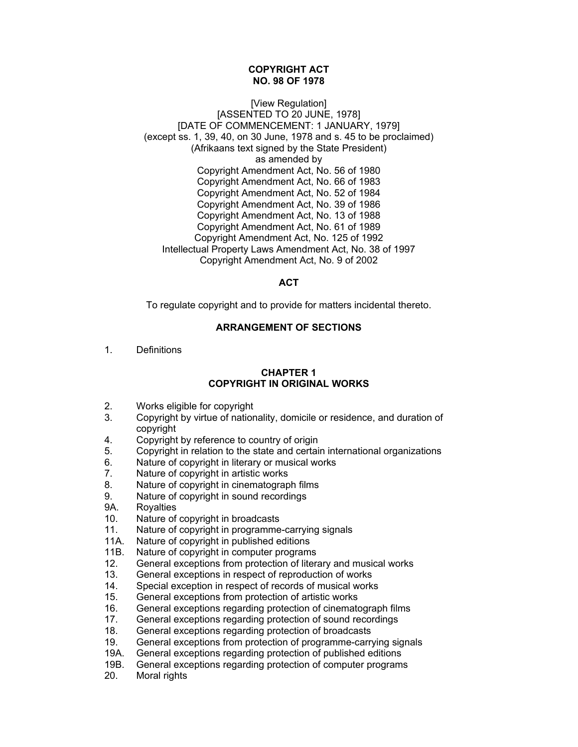#### **COPYRIGHT ACT NO. 98 OF 1978**

[View Regulation] [ASSENTED TO 20 JUNE, 1978] [DATE OF COMMENCEMENT: 1 JANUARY, 1979]  $(excent$  ss. 1, 39, 40, on 30 June, 1978 and s, 45 to be proclaimed) (Afrikaans text signed by the State President) as amended by Copyright Amendment Act, No. 56 of 1980 Copyright Amendment Act, No. 66 of 1983 Copyright Amendment Act, No. 52 of 1984 Copyright Amendment Act, No. 39 of 1986 Copyright Amendment Act, No. 13 of 1988 Copyright Amendment Act, No. 61 of 1989 Copyright Amendment Act, No. 125 of 1992 Intellectual Property Laws Amendment Act, No. 38 of 1997 Copyright Amendment Act, No. 9 of 2002

# **ACT**

To regulate copyright and to provide for matters incidental thereto.

## **ARRANGEMENT OF SECTIONS**

1. Definitions

## **CHAPTER 1 COPYRIGHT IN ORIGINAL WORKS**

- 2. Works eligible for copyright
- 3. Copyright by virtue of nationality, domicile or residence, and duration of copyright
- 4. Copyright by reference to country of origin
- 5. Copyright in relation to the state and certain international organizations
- 6. Nature of copyright in literary or musical works<br>7. Nature of copyright in artistic works
- Nature of copyright in artistic works
- 8. Nature of copyright in cinematograph films
- 9. Nature of copyright in sound recordings
- 9A. Royalties
- 10. Nature of copyright in broadcasts
- 11. Nature of copyright in programme-carrying signals
- 11A. Nature of copyright in published editions
- 11B. Nature of copyright in computer programs
- 12. General exceptions from protection of literary and musical works
- 13. General exceptions in respect of reproduction of works
- 14. Special exception in respect of records of musical works
- 15. General exceptions from protection of artistic works
- 16. General exceptions regarding protection of cinematograph films
- 17. General exceptions regarding protection of sound recordings
- 18. General exceptions regarding protection of broadcasts<br>19. General exceptions from protection of programme-carry
- 19. General exceptions from protection of programme-carrying signals
- 19A. General exceptions regarding protection of published editions
- 19B. General exceptions regarding protection of computer programs
- 20. Moral rights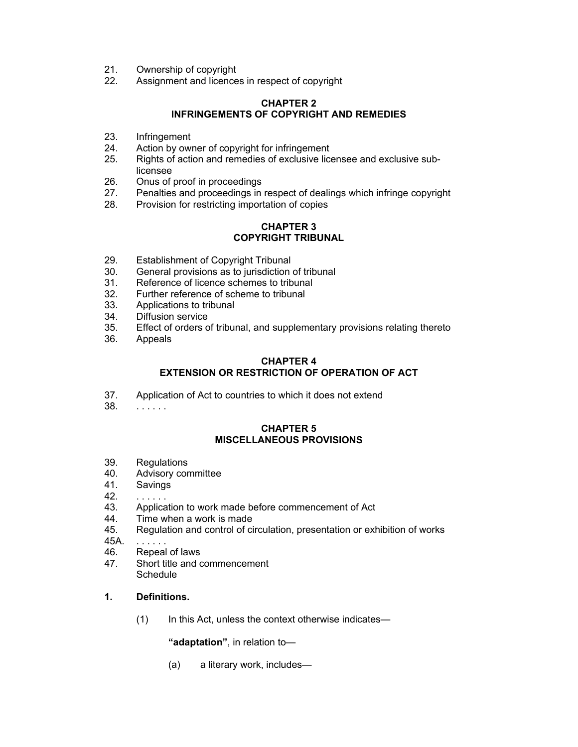- 21. Ownership of copyright
- 22. Assignment and licences in respect of copyright

# **CHAPTER 2 INFRINGEMENTS OF COPYRIGHT AND REMEDIES**

- 23. Infringement
- 24. Action by owner of copyright for infringement
- 25. Rights of action and remedies of exclusive licensee and exclusive sublicensee
- 26. Onus of proof in proceedings
- 27. Penalties and proceedings in respect of dealings which infringe copyright
- 28. Provision for restricting importation of copies

# **CHAPTER 3 COPYRIGHT TRIBUNAL**

- 29. Establishment of Copyright Tribunal
- 30. General provisions as to jurisdiction of tribunal
- 31. Reference of licence schemes to tribunal
- 32. Further reference of scheme to tribunal
- 33. Applications to tribunal
- 34. Diffusion service
- 35. Effect of orders of tribunal, and supplementary provisions relating thereto
- 36. Appeals

#### **CHAPTER 4 EXTENSION OR RESTRICTION OF OPERATION OF ACT**

- 37. Application of Act to countries to which it does not extend
- 38. . . . . . .

#### **CHAPTER 5 MISCELLANEOUS PROVISIONS**

- 39. Regulations
- 40. Advisory committee
- 41. Savings
- 42. . . . . . .
- 43. Application to work made before commencement of Act
- 44. Time when a work is made
- 45. Regulation and control of circulation, presentation or exhibition of works
- 45A. . . . . . .
- 46. Repeal of laws
- 47. Short title and commencement **Schedule**

# **1. Definitions.**

(1) In this Act, unless the context otherwise indicates—

**"adaptation"**, in relation to—

(a) a literary work, includes—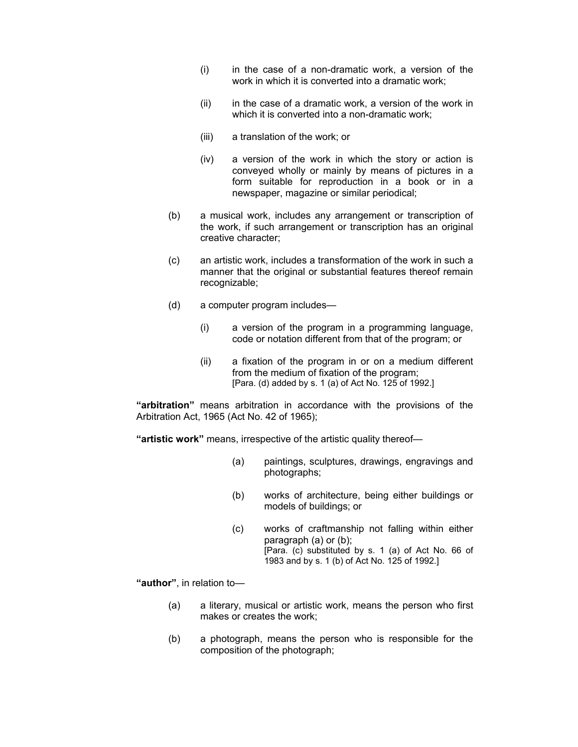- $(i)$  in the case of a non-dramatic work, a version of the work in which it is converted into a dramatic work;
- (ii) in the case of a dramatic work, a version of the work in which it is converted into a non-dramatic work;
- (iii) a translation of the work; or
- (iv) a version of the work in which the story or action is conveyed wholly or mainly by means of pictures in a form suitable for reproduction in a book or in a newspaper, magazine or similar periodical;
- (b) a musical work, includes any arrangement or transcription of the work, if such arrangement or transcription has an original creative character;
- (c) an artistic work, includes a transformation of the work in such a manner that the original or substantial features thereof remain recognizable;
- (d) a computer program includes—
	- (i) a version of the program in a programming language, code or notation different from that of the program; or
	- (ii) a fixation of the program in or on a medium different from the medium of fixation of the program; [Para. (d) added by s. 1 (a) of Act No. 125 of 1992.]

**"arbitration"** means arbitration in accordance with the provisions of the Arbitration Act, 1965 (Act No. 42 of 1965);

**"artistic work"** means, irrespective of the artistic quality thereof—

- (a) paintings, sculptures, drawings, engravings and photographs;
- (b) works of architecture, being either buildings or models of buildings; or
- (c) works of craftmanship not falling within either paragraph (a) or (b); [Para. (c) substituted by s. 1 (a) of Act No. 66 of 1983 and by s. 1 (b) of Act No. 125 of 1992.]

**"author"**, in relation to—

- (a) a literary, musical or artistic work, means the person who first makes or creates the work;
- (b) a photograph, means the person who is responsible for the composition of the photograph;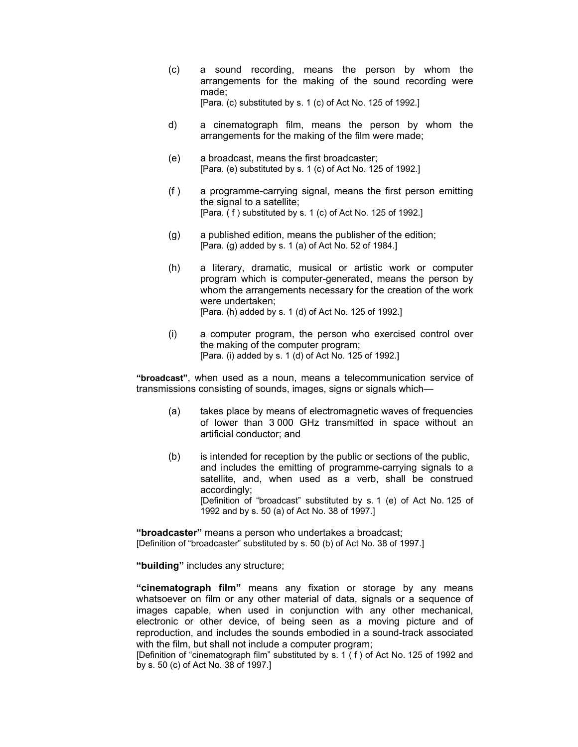- (c) a sound recording, means the person by whom the arrangements for the making of the sound recording were made; [Para. (c) substituted by s. 1 (c) of Act No. 125 of 1992.]
- d) a cinematograph film, means the person by whom the arrangements for the making of the film were made;
- (e) a broadcast, means the first broadcaster; [Para. (e) substituted by s. 1 (c) of Act No. 125 of 1992.]
- (f ) a programme-carrying signal, means the first person emitting the signal to a satellite; [Para. (f) substituted by s. 1 (c) of Act No. 125 of 1992.]
- (g) a published edition, means the publisher of the edition; [Para. (g) added by s. 1 (a) of Act No. 52 of 1984.]
- (h) a literary, dramatic, musical or artistic work or computer program which is computer-generated, means the person by whom the arrangements necessary for the creation of the work were undertaken; [Para. (h) added by s. 1 (d) of Act No. 125 of 1992.]
- (i) a computer program, the person who exercised control over the making of the computer program; [Para. (i) added by s. 1 (d) of Act No. 125 of 1992.]

**"broadcast"**, when used as a noun, means a telecommunication service of transmissions consisting of sounds, images, signs or signals which—

- (a) takes place by means of electromagnetic waves of frequencies of lower than 3 000 GHz transmitted in space without an artificial conductor; and
- (b) is intended for reception by the public or sections of the public, and includes the emitting of programme-carrying signals to a satellite, and, when used as a verb, shall be construed accordingly; [Definition of "broadcast" substituted by s. 1 (e) of Act No. 125 of 1992 and by s. 50 (a) of Act No. 38 of 1997.]

**"broadcaster"** means a person who undertakes a broadcast; [Definition of "broadcaster" substituted by s. 50 (b) of Act No. 38 of 1997.]

**"building"** includes any structure;

**"cinematograph film"** means any fixation or storage by any means whatsoever on film or any other material of data, signals or a sequence of images capable, when used in conjunction with any other mechanical, electronic or other device, of being seen as a moving picture and of reproduction, and includes the sounds embodied in a sound-track associated with the film, but shall not include a computer program;

[Definition of "cinematograph film" substituted by s. 1 ( f ) of Act No. 125 of 1992 and by s. 50 (c) of Act No. 38 of 1997.]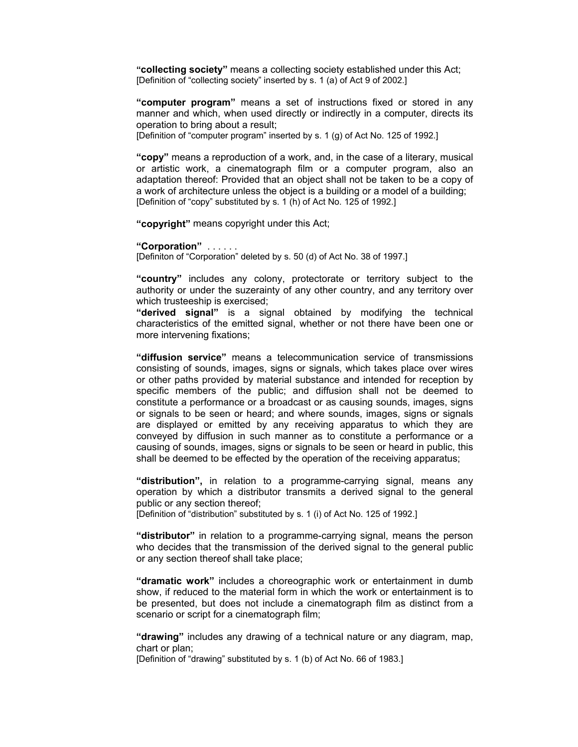**"collecting society"** means a collecting society established under this Act; [Definition of "collecting society" inserted by s. 1 (a) of Act 9 of 2002.]

**"computer program"** means a set of instructions fixed or stored in any manner and which, when used directly or indirectly in a computer, directs its operation to bring about a result;

[Definition of "computer program" inserted by s. 1 (g) of Act No. 125 of 1992.]

**"copy"** means a reproduction of a work, and, in the case of a literary, musical or artistic work, a cinematograph film or a computer program, also an adaptation thereof: Provided that an object shall not be taken to be a copy of a work of architecture unless the object is a building or a model of a building; [Definition of "copy" substituted by s. 1 (h) of Act No. 125 of 1992.]

**"copyright"** means copyright under this Act;

#### **"Corporation"** . . . . . .

[Definiton of "Corporation" deleted by s. 50 (d) of Act No. 38 of 1997.]

**"country"** includes any colony, protectorate or territory subject to the authority or under the suzerainty of any other country, and any territory over which trusteeship is exercised;

**"derived signal"** is a signal obtained by modifying the technical characteristics of the emitted signal, whether or not there have been one or more intervening fixations;

**"diffusion service"** means a telecommunication service of transmissions consisting of sounds, images, signs or signals, which takes place over wires or other paths provided by material substance and intended for reception by specific members of the public; and diffusion shall not be deemed to constitute a performance or a broadcast or as causing sounds, images, signs or signals to be seen or heard; and where sounds, images, signs or signals are displayed or emitted by any receiving apparatus to which they are conveyed by diffusion in such manner as to constitute a performance or a causing of sounds, images, signs or signals to be seen or heard in public, this shall be deemed to be effected by the operation of the receiving apparatus;

**"distribution",** in relation to a programme-carrying signal, means any operation by which a distributor transmits a derived signal to the general public or any section thereof;

[Definition of "distribution" substituted by s. 1 (i) of Act No. 125 of 1992.]

**"distributor"** in relation to a programme-carrying signal, means the person who decides that the transmission of the derived signal to the general public or any section thereof shall take place;

**"dramatic work"** includes a choreographic work or entertainment in dumb show, if reduced to the material form in which the work or entertainment is to be presented, but does not include a cinematograph film as distinct from a scenario or script for a cinematograph film;

**"drawing"** includes any drawing of a technical nature or any diagram, map, chart or plan;

[Definition of "drawing" substituted by s. 1 (b) of Act No. 66 of 1983.]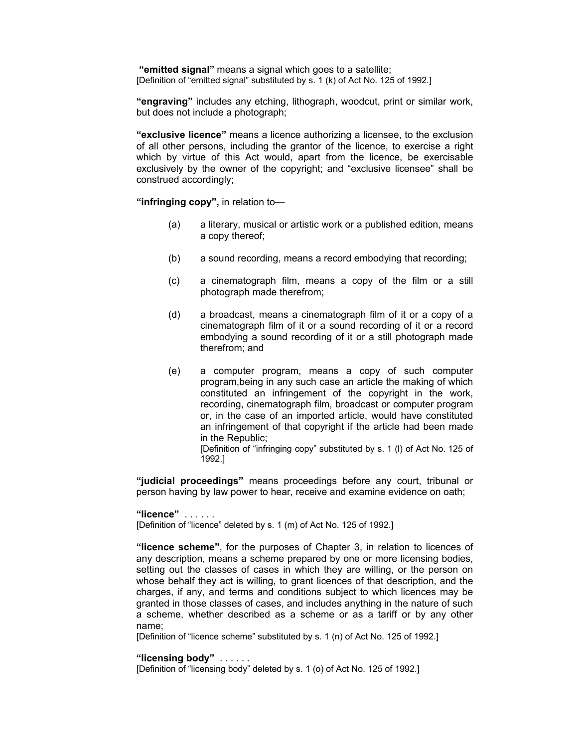**"emitted signal"** means a signal which goes to a satellite; [Definition of "emitted signal" substituted by s. 1 (k) of Act No. 125 of 1992.]

**"engraving"** includes any etching, lithograph, woodcut, print or similar work, but does not include a photograph;

**"exclusive licence"** means a licence authorizing a licensee, to the exclusion of all other persons, including the grantor of the licence, to exercise a right which by virtue of this Act would, apart from the licence, be exercisable exclusively by the owner of the copyright; and "exclusive licensee" shall be construed accordingly;

**"infringing copy",** in relation to—

- (a) a literary, musical or artistic work or a published edition, means a copy thereof;
- (b) a sound recording, means a record embodying that recording;
- (c) a cinematograph film, means a copy of the film or a still photograph made therefrom;
- (d) a broadcast, means a cinematograph film of it or a copy of a cinematograph film of it or a sound recording of it or a record embodying a sound recording of it or a still photograph made therefrom; and
- (e) a computer program, means a copy of such computer program,being in any such case an article the making of which constituted an infringement of the copyright in the work, recording, cinematograph film, broadcast or computer program or, in the case of an imported article, would have constituted an infringement of that copyright if the article had been made in the Republic; [Definition of "infringing copy" substituted by s. 1 (l) of Act No. 125 of

1992.]

**"judicial proceedings"** means proceedings before any court, tribunal or person having by law power to hear, receive and examine evidence on oath;

**"licence"** . . . . . . [Definition of "licence" deleted by s. 1 (m) of Act No. 125 of 1992.]

**"licence scheme"**, for the purposes of Chapter 3, in relation to licences of any description, means a scheme prepared by one or more licensing bodies, setting out the classes of cases in which they are willing, or the person on whose behalf they act is willing, to grant licences of that description, and the charges, if any, and terms and conditions subject to which licences may be granted in those classes of cases, and includes anything in the nature of such a scheme, whether described as a scheme or as a tariff or by any other name;

[Definition of "licence scheme" substituted by s. 1 (n) of Act No. 125 of 1992.]

#### **"licensing body"** . . . . . .

[Definition of "licensing body" deleted by s. 1 (o) of Act No. 125 of 1992.]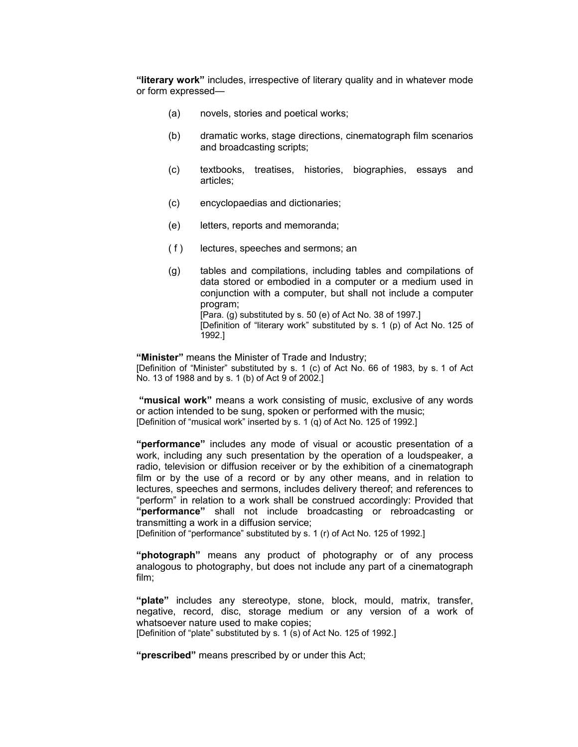**"literary work"** includes, irrespective of literary quality and in whatever mode or form expressed—

- (a) novels, stories and poetical works;
- (b) dramatic works, stage directions, cinematograph film scenarios and broadcasting scripts;
- (c) textbooks, treatises, histories, biographies, essays and articles;
- (c) encyclopaedias and dictionaries;
- (e) letters, reports and memoranda;
- ( f ) lectures, speeches and sermons; an
- (g) tables and compilations, including tables and compilations of data stored or embodied in a computer or a medium used in conjunction with a computer, but shall not include a computer program; [Para. (g) substituted by s. 50 (e) of Act No. 38 of 1997.] [Definition of "literary work" substituted by s. 1 (p) of Act No. 125 of 1992.]

**"Minister"** means the Minister of Trade and Industry; [Definition of "Minister" substituted by s. 1 (c) of Act No. 66 of 1983, by s. 1 of Act No. 13 of 1988 and by s. 1 (b) of Act 9 of 2002.]

**"musical work"** means a work consisting of music, exclusive of any words or action intended to be sung, spoken or performed with the music; [Definition of "musical work" inserted by s. 1 (q) of Act No. 125 of 1992.]

**"performance"** includes any mode of visual or acoustic presentation of a work, including any such presentation by the operation of a loudspeaker, a radio, television or diffusion receiver or by the exhibition of a cinematograph film or by the use of a record or by any other means, and in relation to lectures, speeches and sermons, includes delivery thereof; and references to "perform" in relation to a work shall be construed accordingly: Provided that **"performance"** shall not include broadcasting or rebroadcasting or transmitting a work in a diffusion service;

[Definition of "performance" substituted by s. 1 (r) of Act No. 125 of 1992.]

**"photograph"** means any product of photography or of any process analogous to photography, but does not include any part of a cinematograph film;

**"plate"** includes any stereotype, stone, block, mould, matrix, transfer, negative, record, disc, storage medium or any version of a work of whatsoever nature used to make copies; [Definition of "plate" substituted by s. 1 (s) of Act No. 125 of 1992.]

**"prescribed"** means prescribed by or under this Act;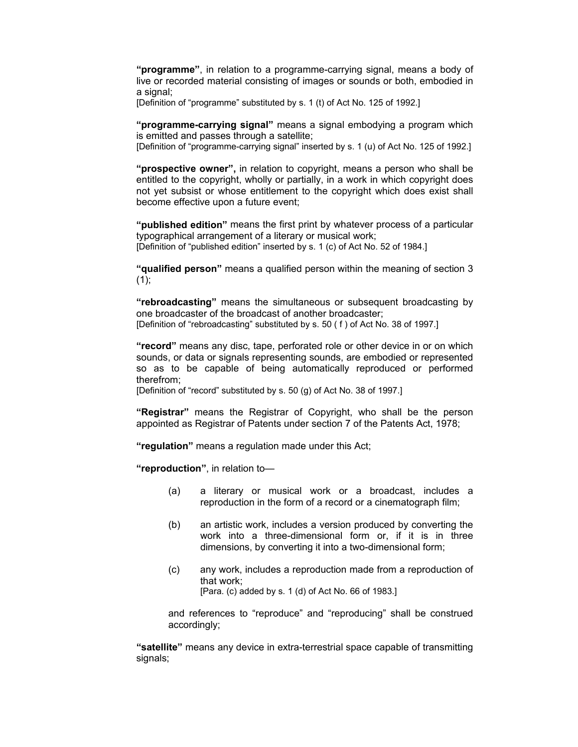**"programme"**, in relation to a programme-carrying signal, means a body of live or recorded material consisting of images or sounds or both, embodied in a signal:

[Definition of "programme" substituted by s. 1 (t) of Act No. 125 of 1992.]

**"programme-carrying signal"** means a signal embodying a program which is emitted and passes through a satellite;

[Definition of "programme-carrying signal" inserted by s. 1 (u) of Act No. 125 of 1992.]

**"prospective owner",** in relation to copyright, means a person who shall be entitled to the copyright, wholly or partially, in a work in which copyright does not yet subsist or whose entitlement to the copyright which does exist shall become effective upon a future event;

**"published edition"** means the first print by whatever process of a particular typographical arrangement of a literary or musical work; [Definition of "published edition" inserted by s. 1 (c) of Act No. 52 of 1984.]

**"qualified person"** means a qualified person within the meaning of section 3  $(1)$ ;

**"rebroadcasting"** means the simultaneous or subsequent broadcasting by one broadcaster of the broadcast of another broadcaster; [Definition of "rebroadcasting" substituted by s. 50 ( f ) of Act No. 38 of 1997.]

**"record"** means any disc, tape, perforated role or other device in or on which sounds, or data or signals representing sounds, are embodied or represented so as to be capable of being automatically reproduced or performed therefrom;

[Definition of "record" substituted by s. 50 (g) of Act No. 38 of 1997.]

**"Registrar"** means the Registrar of Copyright, who shall be the person appointed as Registrar of Patents under section 7 of the Patents Act, 1978;

**"regulation"** means a regulation made under this Act;

**"reproduction"**, in relation to—

- (a) a literary or musical work or a broadcast, includes a reproduction in the form of a record or a cinematograph film;
- (b) an artistic work, includes a version produced by converting the work into a three-dimensional form or, if it is in three dimensions, by converting it into a two-dimensional form;
- (c) any work, includes a reproduction made from a reproduction of that work; [Para. (c) added by s. 1 (d) of Act No. 66 of 1983.]

and references to "reproduce" and "reproducing" shall be construed accordingly;

**"satellite"** means any device in extra-terrestrial space capable of transmitting signals;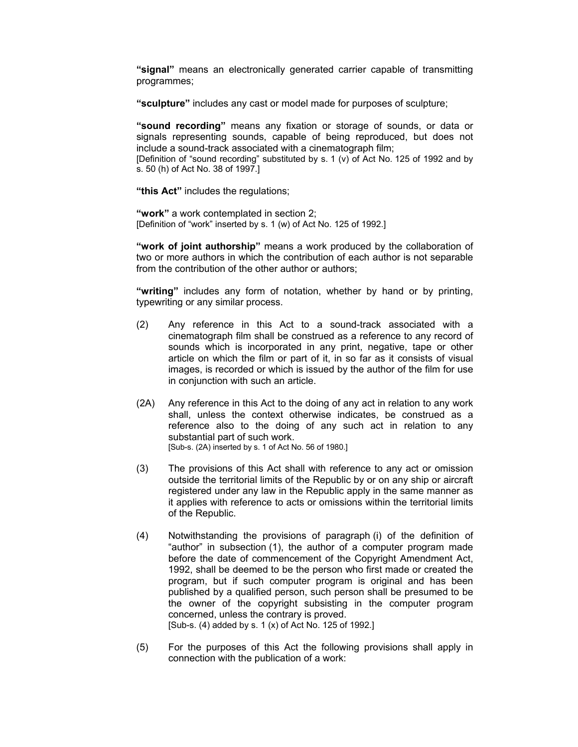**"signal"** means an electronically generated carrier capable of transmitting programmes;

**"sculpture"** includes any cast or model made for purposes of sculpture;

**"sound recording"** means any fixation or storage of sounds, or data or signals representing sounds, capable of being reproduced, but does not include a sound-track associated with a cinematograph film;

[Definition of "sound recording" substituted by s. 1 (v) of Act No. 125 of 1992 and by s. 50 (h) of Act No. 38 of 1997.]

**"this Act"** includes the regulations;

**"work"** a work contemplated in section 2; [Definition of "work" inserted by s. 1 (w) of Act No. 125 of 1992.]

**"work of joint authorship"** means a work produced by the collaboration of two or more authors in which the contribution of each author is not separable from the contribution of the other author or authors;

**"writing"** includes any form of notation, whether by hand or by printing, typewriting or any similar process.

- (2) Any reference in this Act to a sound-track associated with a cinematograph film shall be construed as a reference to any record of sounds which is incorporated in any print, negative, tape or other article on which the film or part of it, in so far as it consists of visual images, is recorded or which is issued by the author of the film for use in conjunction with such an article.
- (2A) Any reference in this Act to the doing of any act in relation to any work shall, unless the context otherwise indicates, be construed as a reference also to the doing of any such act in relation to any substantial part of such work. [Sub-s. (2A) inserted by s. 1 of Act No. 56 of 1980.]
- (3) The provisions of this Act shall with reference to any act or omission outside the territorial limits of the Republic by or on any ship or aircraft registered under any law in the Republic apply in the same manner as it applies with reference to acts or omissions within the territorial limits of the Republic.
- (4) Notwithstanding the provisions of paragraph (i) of the definition of "author" in subsection (1), the author of a computer program made before the date of commencement of the Copyright Amendment Act, 1992, shall be deemed to be the person who first made or created the program, but if such computer program is original and has been published by a qualified person, such person shall be presumed to be the owner of the copyright subsisting in the computer program concerned, unless the contrary is proved. [Sub-s. (4) added by s. 1 (x) of Act No. 125 of 1992.]
- (5) For the purposes of this Act the following provisions shall apply in connection with the publication of a work: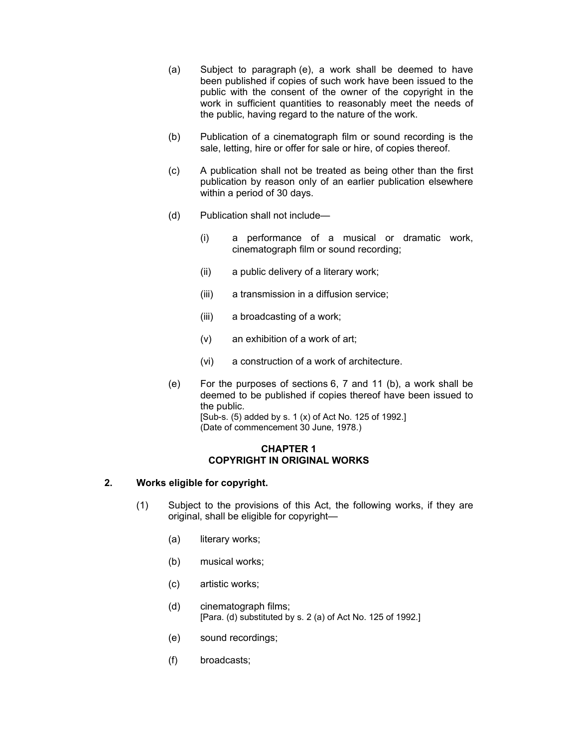- (a) Subject to paragraph (e), a work shall be deemed to have been published if copies of such work have been issued to the public with the consent of the owner of the copyright in the work in sufficient quantities to reasonably meet the needs of the public, having regard to the nature of the work.
- (b) Publication of a cinematograph film or sound recording is the sale, letting, hire or offer for sale or hire, of copies thereof.
- (c) A publication shall not be treated as being other than the first publication by reason only of an earlier publication elsewhere within a period of 30 days.
- (d) Publication shall not include—
	- (i) a performance of a musical or dramatic work, cinematograph film or sound recording;
	- (ii) a public delivery of a literary work;
	- (iii) a transmission in a diffusion service;
	- (iii) a broadcasting of a work;
	- (v) an exhibition of a work of art;
	- (vi) a construction of a work of architecture.
- (e) For the purposes of sections 6, 7 and 11 (b), a work shall be deemed to be published if copies thereof have been issued to the public. [Sub-s. (5) added by s. 1 (x) of Act No. 125 of 1992.]

(Date of commencement 30 June, 1978.)

#### **CHAPTER 1 COPYRIGHT IN ORIGINAL WORKS**

# **2. Works eligible for copyright.**

- (1) Subject to the provisions of this Act, the following works, if they are original, shall be eligible for copyright—
	- (a) literary works;
	- (b) musical works;
	- (c) artistic works;
	- (d) cinematograph films; [Para. (d) substituted by s. 2 (a) of Act No. 125 of 1992.]
	- (e) sound recordings;
	- (f) broadcasts;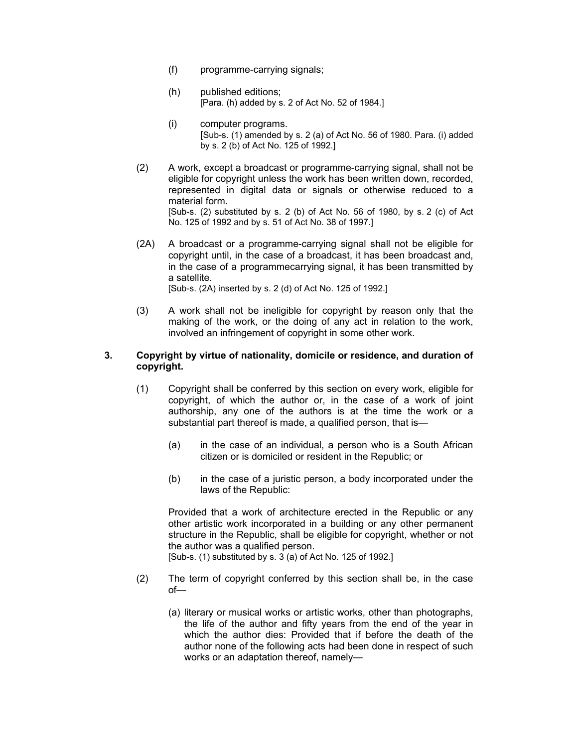- (f) programme-carrying signals;
- (h) published editions; [Para. (h) added by s. 2 of Act No. 52 of 1984.]
- (i) computer programs. [Sub-s. (1) amended by s. 2 (a) of Act No. 56 of 1980. Para. (i) added by s. 2 (b) of Act No. 125 of 1992.]
- (2) A work, except a broadcast or programme-carrying signal, shall not be eligible for copyright unless the work has been written down, recorded, represented in digital data or signals or otherwise reduced to a material form. [Sub-s. (2) substituted by s. 2 (b) of Act No. 56 of 1980, by s. 2 (c) of Act No. 125 of 1992 and by s. 51 of Act No. 38 of 1997.]
- (2A) A broadcast or a programme-carrying signal shall not be eligible for copyright until, in the case of a broadcast, it has been broadcast and, in the case of a programmecarrying signal, it has been transmitted by a satellite. [Sub-s. (2A) inserted by s. 2 (d) of Act No. 125 of 1992.]
- (3) A work shall not be ineligible for copyright by reason only that the making of the work, or the doing of any act in relation to the work, involved an infringement of copyright in some other work.

## **3. Copyright by virtue of nationality, domicile or residence, and duration of copyright.**

- (1) Copyright shall be conferred by this section on every work, eligible for copyright, of which the author or, in the case of a work of joint authorship, any one of the authors is at the time the work or a substantial part thereof is made, a qualified person, that is—
	- (a) in the case of an individual, a person who is a South African citizen or is domiciled or resident in the Republic; or
	- (b) in the case of a juristic person, a body incorporated under the laws of the Republic:

Provided that a work of architecture erected in the Republic or any other artistic work incorporated in a building or any other permanent structure in the Republic, shall be eligible for copyright, whether or not the author was a qualified person.

[Sub-s. (1) substituted by s. 3 (a) of Act No. 125 of 1992.]

- (2) The term of copyright conferred by this section shall be, in the case of—
	- (a) literary or musical works or artistic works, other than photographs, the life of the author and fifty years from the end of the year in which the author dies: Provided that if before the death of the author none of the following acts had been done in respect of such works or an adaptation thereof, namely—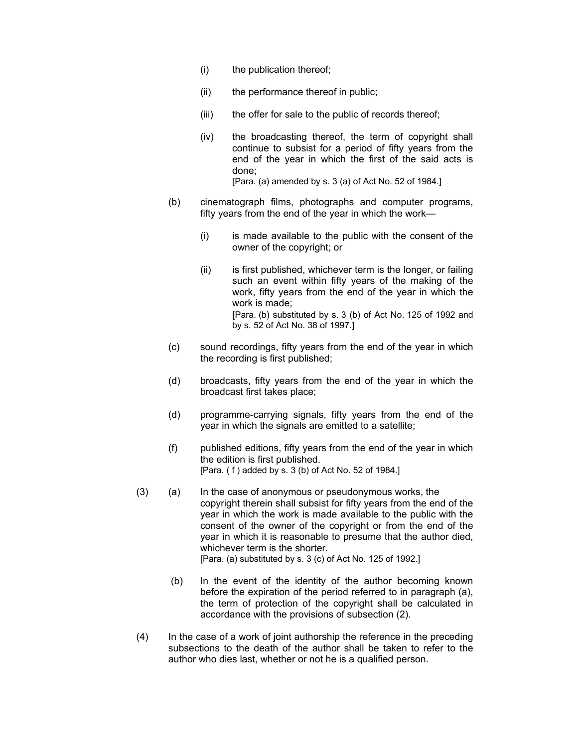- (i) the publication thereof;
- (ii) the performance thereof in public;
- (iii) the offer for sale to the public of records thereof;
- (iv) the broadcasting thereof, the term of copyright shall continue to subsist for a period of fifty years from the end of the year in which the first of the said acts is done; [Para. (a) amended by s. 3 (a) of Act No. 52 of 1984.]
- (b) cinematograph films, photographs and computer programs, fifty years from the end of the year in which the work—
	- (i) is made available to the public with the consent of the owner of the copyright; or
	- (ii) is first published, whichever term is the longer, or failing such an event within fifty years of the making of the work, fifty years from the end of the year in which the work is made; [Para. (b) substituted by s. 3 (b) of Act No. 125 of 1992 and by s. 52 of Act No. 38 of 1997.]
- (c) sound recordings, fifty years from the end of the year in which the recording is first published;
- (d) broadcasts, fifty years from the end of the year in which the broadcast first takes place;
- (d) programme-carrying signals, fifty years from the end of the year in which the signals are emitted to a satellite;
- (f) published editions, fifty years from the end of the year in which the edition is first published. [Para. ( f ) added by s. 3 (b) of Act No. 52 of 1984.]
- (3) (a) In the case of anonymous or pseudonymous works, the copyright therein shall subsist for fifty years from the end of the year in which the work is made available to the public with the consent of the owner of the copyright or from the end of the year in which it is reasonable to presume that the author died, whichever term is the shorter. [Para. (a) substituted by s. 3 (c) of Act No. 125 of 1992.]
	- (b) In the event of the identity of the author becoming known before the expiration of the period referred to in paragraph (a), the term of protection of the copyright shall be calculated in accordance with the provisions of subsection (2).
- (4) In the case of a work of joint authorship the reference in the preceding subsections to the death of the author shall be taken to refer to the author who dies last, whether or not he is a qualified person.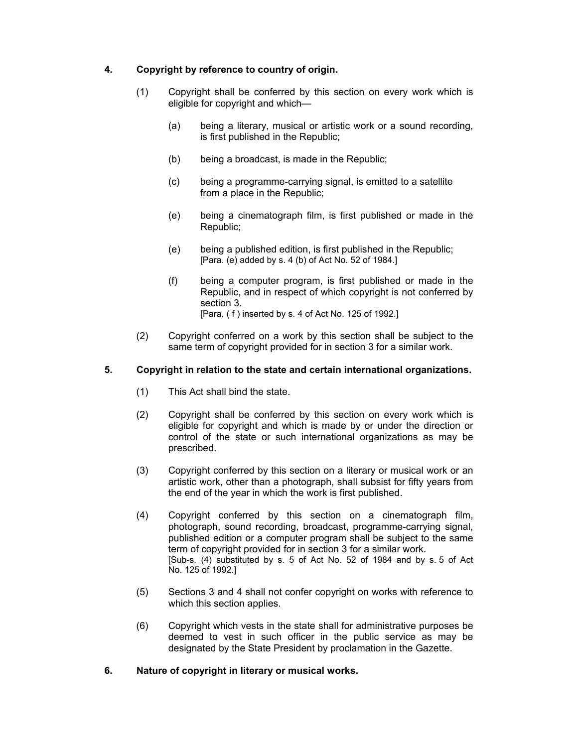# **4. Copyright by reference to country of origin.**

- (1) Copyright shall be conferred by this section on every work which is eligible for copyright and which—
	- (a) being a literary, musical or artistic work or a sound recording, is first published in the Republic;
	- (b) being a broadcast, is made in the Republic;
	- (c) being a programme-carrying signal, is emitted to a satellite from a place in the Republic;
	- (e) being a cinematograph film, is first published or made in the Republic;
	- (e) being a published edition, is first published in the Republic; [Para. (e) added by s. 4 (b) of Act No. 52 of 1984.]
	- (f) being a computer program, is first published or made in the Republic, and in respect of which copyright is not conferred by section 3. [Para. ( f ) inserted by s. 4 of Act No. 125 of 1992.]
- (2) Copyright conferred on a work by this section shall be subject to the same term of copyright provided for in section 3 for a similar work.

# **5. Copyright in relation to the state and certain international organizations.**

- (1) This Act shall bind the state.
- (2) Copyright shall be conferred by this section on every work which is eligible for copyright and which is made by or under the direction or control of the state or such international organizations as may be prescribed.
- (3) Copyright conferred by this section on a literary or musical work or an artistic work, other than a photograph, shall subsist for fifty years from the end of the year in which the work is first published.
- (4) Copyright conferred by this section on a cinematograph film, photograph, sound recording, broadcast, programme-carrying signal, published edition or a computer program shall be subject to the same term of copyright provided for in section 3 for a similar work. [Sub-s. (4) substituted by s. 5 of Act No. 52 of 1984 and by s. 5 of Act No. 125 of 1992.]
- (5) Sections 3 and 4 shall not confer copyright on works with reference to which this section applies.
- (6) Copyright which vests in the state shall for administrative purposes be deemed to vest in such officer in the public service as may be designated by the State President by proclamation in the Gazette.
- **6. Nature of copyright in literary or musical works.**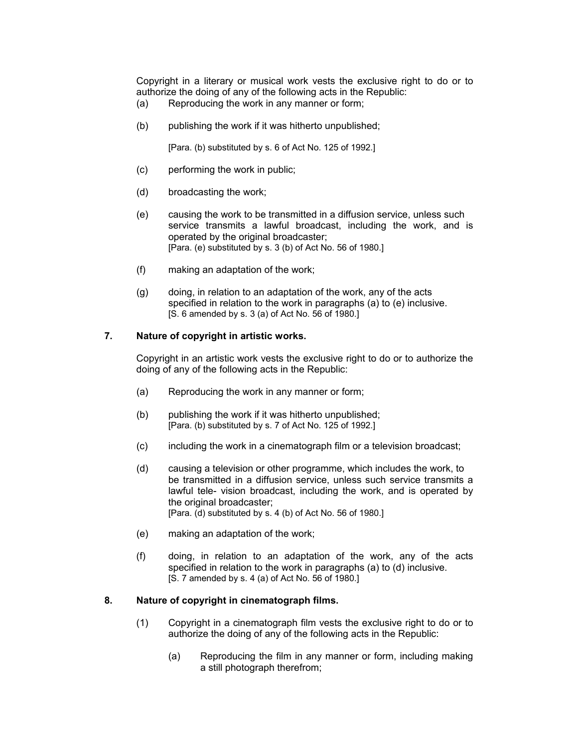Copyright in a literary or musical work vests the exclusive right to do or to authorize the doing of any of the following acts in the Republic:

- (a) Reproducing the work in any manner or form;
- (b) publishing the work if it was hitherto unpublished;

[Para. (b) substituted by s. 6 of Act No. 125 of 1992.]

- (c) performing the work in public;
- (d) broadcasting the work;
- (e) causing the work to be transmitted in a diffusion service, unless such service transmits a lawful broadcast, including the work, and is operated by the original broadcaster; [Para. (e) substituted by s. 3 (b) of Act No. 56 of 1980.]
- (f) making an adaptation of the work;
- (g) doing, in relation to an adaptation of the work, any of the acts specified in relation to the work in paragraphs (a) to (e) inclusive. [S. 6 amended by s. 3 (a) of Act No. 56 of 1980.]

## **7. Nature of copyright in artistic works.**

Copyright in an artistic work vests the exclusive right to do or to authorize the doing of any of the following acts in the Republic:

- (a) Reproducing the work in any manner or form;
- (b) publishing the work if it was hitherto unpublished; [Para. (b) substituted by s. 7 of Act No. 125 of 1992.]
- (c) including the work in a cinematograph film or a television broadcast;
- (d) causing a television or other programme, which includes the work, to be transmitted in a diffusion service, unless such service transmits a lawful tele- vision broadcast, including the work, and is operated by the original broadcaster; [Para. (d) substituted by s. 4 (b) of Act No. 56 of 1980.]
- (e) making an adaptation of the work;
- (f) doing, in relation to an adaptation of the work, any of the acts specified in relation to the work in paragraphs (a) to (d) inclusive. [S. 7 amended by s. 4 (a) of Act No. 56 of 1980.]

#### **8. Nature of copyright in cinematograph films.**

- (1) Copyright in a cinematograph film vests the exclusive right to do or to authorize the doing of any of the following acts in the Republic:
	- (a) Reproducing the film in any manner or form, including making a still photograph therefrom;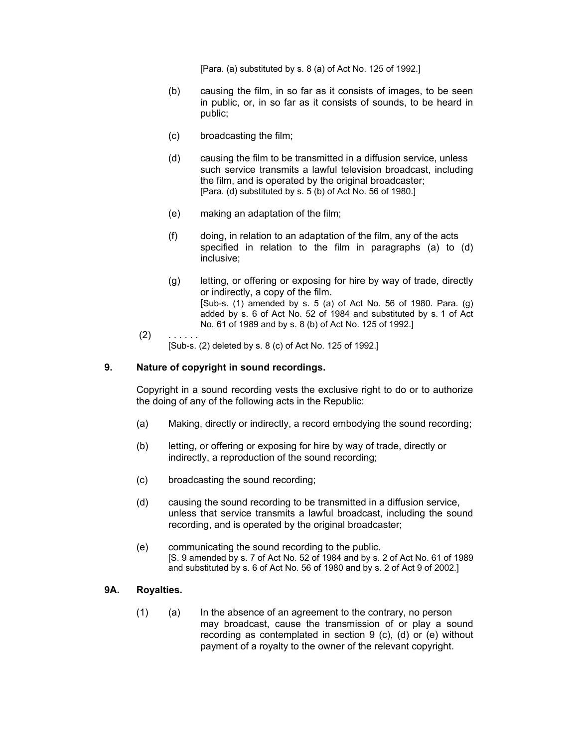[Para. (a) substituted by s. 8 (a) of Act No. 125 of 1992.]

- (b) causing the film, in so far as it consists of images, to be seen in public, or, in so far as it consists of sounds, to be heard in public;
- (c) broadcasting the film;
- (d) causing the film to be transmitted in a diffusion service, unless such service transmits a lawful television broadcast, including the film, and is operated by the original broadcaster; [Para. (d) substituted by s. 5 (b) of Act No. 56 of 1980.]
- (e) making an adaptation of the film;
- (f) doing, in relation to an adaptation of the film, any of the acts specified in relation to the film in paragraphs (a) to (d) inclusive;
- (g) letting, or offering or exposing for hire by way of trade, directly or indirectly, a copy of the film. [Sub-s. (1) amended by s. 5 (a) of Act No. 56 of 1980. Para. (g) added by s. 6 of Act No. 52 of 1984 and substituted by s. 1 of Act No. 61 of 1989 and by s. 8 (b) of Act No. 125 of 1992.]
- $(2)$ [Sub-s. (2) deleted by s. 8 (c) of Act No. 125 of 1992.]

## **9. Nature of copyright in sound recordings.**

Copyright in a sound recording vests the exclusive right to do or to authorize the doing of any of the following acts in the Republic:

- (a) Making, directly or indirectly, a record embodying the sound recording;
- (b) letting, or offering or exposing for hire by way of trade, directly or indirectly, a reproduction of the sound recording;
- (c) broadcasting the sound recording;
- (d) causing the sound recording to be transmitted in a diffusion service, unless that service transmits a lawful broadcast, including the sound recording, and is operated by the original broadcaster;
- (e) communicating the sound recording to the public. [S. 9 amended by s. 7 of Act No. 52 of 1984 and by s. 2 of Act No. 61 of 1989 and substituted by s. 6 of Act No. 56 of 1980 and by s. 2 of Act 9 of 2002.]

#### **9A. Royalties.**

(1) (a) In the absence of an agreement to the contrary, no person may broadcast, cause the transmission of or play a sound recording as contemplated in section 9 (c), (d) or (e) without payment of a royalty to the owner of the relevant copyright.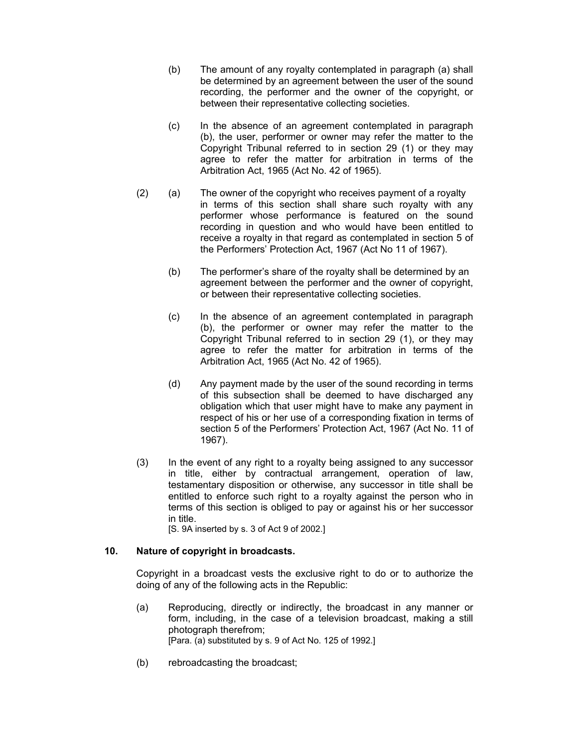- (b) The amount of any royalty contemplated in paragraph (a) shall be determined by an agreement between the user of the sound recording, the performer and the owner of the copyright, or between their representative collecting societies.
- (c) In the absence of an agreement contemplated in paragraph (b), the user, performer or owner may refer the matter to the Copyright Tribunal referred to in section 29 (1) or they may agree to refer the matter for arbitration in terms of the Arbitration Act, 1965 (Act No. 42 of 1965).
- (2) (a) The owner of the copyright who receives payment of a royalty in terms of this section shall share such royalty with any performer whose performance is featured on the sound recording in question and who would have been entitled to receive a royalty in that regard as contemplated in section 5 of the Performers' Protection Act, 1967 (Act No 11 of 1967).
	- (b) The performer's share of the royalty shall be determined by an agreement between the performer and the owner of copyright, or between their representative collecting societies.
	- (c) In the absence of an agreement contemplated in paragraph (b), the performer or owner may refer the matter to the Copyright Tribunal referred to in section 29 (1), or they may agree to refer the matter for arbitration in terms of the Arbitration Act, 1965 (Act No. 42 of 1965).
	- (d) Any payment made by the user of the sound recording in terms of this subsection shall be deemed to have discharged any obligation which that user might have to make any payment in respect of his or her use of a corresponding fixation in terms of section 5 of the Performers' Protection Act, 1967 (Act No. 11 of 1967).
- (3) In the event of any right to a royalty being assigned to any successor in title, either by contractual arrangement, operation of law, testamentary disposition or otherwise, any successor in title shall be entitled to enforce such right to a royalty against the person who in terms of this section is obliged to pay or against his or her successor in title.

[S. 9A inserted by s. 3 of Act 9 of 2002.]

# **10. Nature of copyright in broadcasts.**

Copyright in a broadcast vests the exclusive right to do or to authorize the doing of any of the following acts in the Republic:

- (a) Reproducing, directly or indirectly, the broadcast in any manner or form, including, in the case of a television broadcast, making a still photograph therefrom; [Para. (a) substituted by s. 9 of Act No. 125 of 1992.]
- (b) rebroadcasting the broadcast;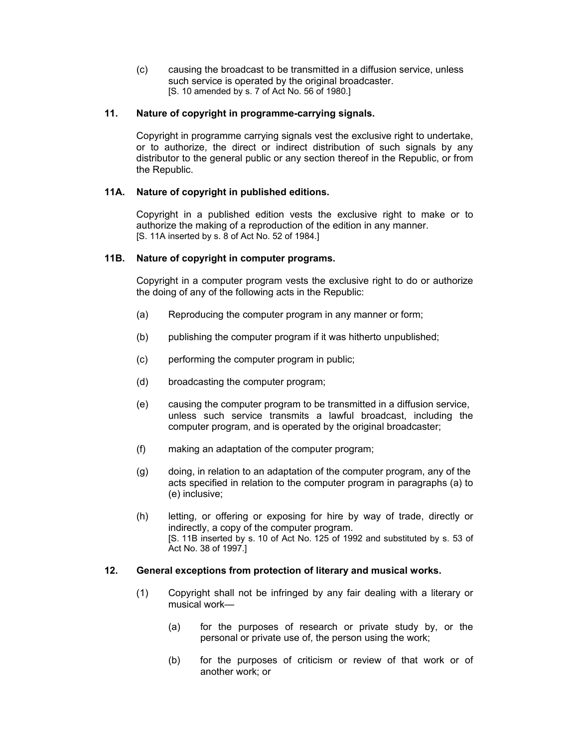(c) causing the broadcast to be transmitted in a diffusion service, unless such service is operated by the original broadcaster. [S. 10 amended by s. 7 of Act No. 56 of 1980.]

# **11. Nature of copyright in programme-carrying signals.**

Copyright in programme carrying signals vest the exclusive right to undertake, or to authorize, the direct or indirect distribution of such signals by any distributor to the general public or any section thereof in the Republic, or from the Republic.

## **11A. Nature of copyright in published editions.**

Copyright in a published edition vests the exclusive right to make or to authorize the making of a reproduction of the edition in any manner. [S. 11A inserted by s. 8 of Act No. 52 of 1984.]

## **11B. Nature of copyright in computer programs.**

Copyright in a computer program vests the exclusive right to do or authorize the doing of any of the following acts in the Republic:

- (a) Reproducing the computer program in any manner or form;
- (b) publishing the computer program if it was hitherto unpublished;
- (c) performing the computer program in public;
- (d) broadcasting the computer program;
- (e) causing the computer program to be transmitted in a diffusion service, unless such service transmits a lawful broadcast, including the computer program, and is operated by the original broadcaster;
- (f) making an adaptation of the computer program;
- (g) doing, in relation to an adaptation of the computer program, any of the acts specified in relation to the computer program in paragraphs (a) to (e) inclusive;
- (h) letting, or offering or exposing for hire by way of trade, directly or indirectly, a copy of the computer program. [S. 11B inserted by s. 10 of Act No. 125 of 1992 and substituted by s. 53 of Act No. 38 of 1997.]

## **12. General exceptions from protection of literary and musical works.**

- (1) Copyright shall not be infringed by any fair dealing with a literary or musical work—
	- (a) for the purposes of research or private study by, or the personal or private use of, the person using the work;
	- (b) for the purposes of criticism or review of that work or of another work; or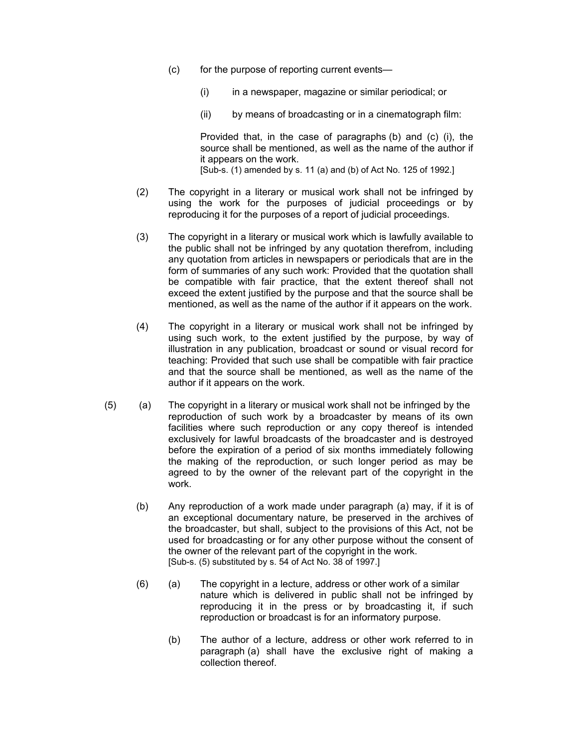- (c) for the purpose of reporting current events—
	- (i) in a newspaper, magazine or similar periodical; or
	- (ii) by means of broadcasting or in a cinematograph film:

Provided that, in the case of paragraphs (b) and (c) (i), the source shall be mentioned, as well as the name of the author if it appears on the work. [Sub-s. (1) amended by s. 11 (a) and (b) of Act No. 125 of 1992.]

- (2) The copyright in a literary or musical work shall not be infringed by using the work for the purposes of judicial proceedings or by reproducing it for the purposes of a report of judicial proceedings.
- (3) The copyright in a literary or musical work which is lawfully available to the public shall not be infringed by any quotation therefrom, including any quotation from articles in newspapers or periodicals that are in the form of summaries of any such work: Provided that the quotation shall be compatible with fair practice, that the extent thereof shall not exceed the extent justified by the purpose and that the source shall be mentioned, as well as the name of the author if it appears on the work.
- (4) The copyright in a literary or musical work shall not be infringed by using such work, to the extent justified by the purpose, by way of illustration in any publication, broadcast or sound or visual record for teaching: Provided that such use shall be compatible with fair practice and that the source shall be mentioned, as well as the name of the author if it appears on the work.
- (5) (a) The copyright in a literary or musical work shall not be infringed by the reproduction of such work by a broadcaster by means of its own facilities where such reproduction or any copy thereof is intended exclusively for lawful broadcasts of the broadcaster and is destroyed before the expiration of a period of six months immediately following the making of the reproduction, or such longer period as may be agreed to by the owner of the relevant part of the copyright in the work.
	- (b) Any reproduction of a work made under paragraph (a) may, if it is of an exceptional documentary nature, be preserved in the archives of the broadcaster, but shall, subject to the provisions of this Act, not be used for broadcasting or for any other purpose without the consent of the owner of the relevant part of the copyright in the work. [Sub-s. (5) substituted by s. 54 of Act No. 38 of 1997.]
	- (6) (a) The copyright in a lecture, address or other work of a similar nature which is delivered in public shall not be infringed by reproducing it in the press or by broadcasting it, if such reproduction or broadcast is for an informatory purpose.
		- (b) The author of a lecture, address or other work referred to in paragraph (a) shall have the exclusive right of making a collection thereof.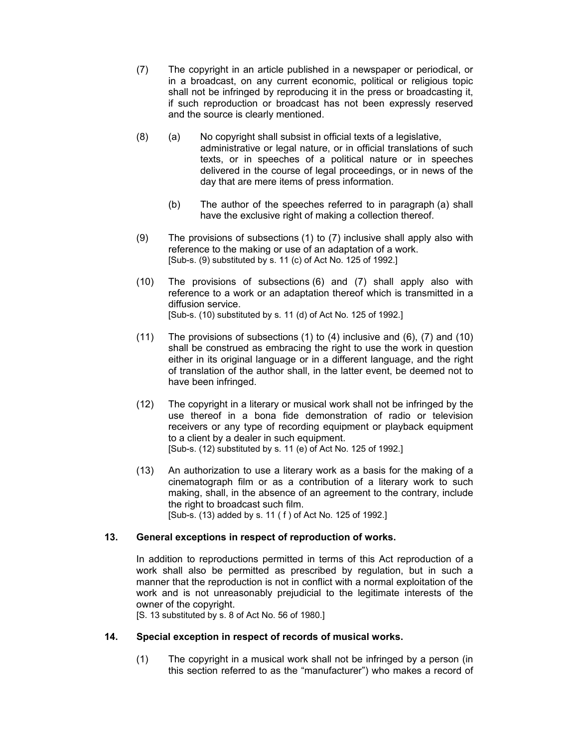- (7) The copyright in an article published in a newspaper or periodical, or in a broadcast, on any current economic, political or religious topic shall not be infringed by reproducing it in the press or broadcasting it, if such reproduction or broadcast has not been expressly reserved and the source is clearly mentioned.
- (8) (a) No copyright shall subsist in official texts of a legislative, administrative or legal nature, or in official translations of such texts, or in speeches of a political nature or in speeches delivered in the course of legal proceedings, or in news of the day that are mere items of press information.
	- (b) The author of the speeches referred to in paragraph (a) shall have the exclusive right of making a collection thereof.
- (9) The provisions of subsections (1) to (7) inclusive shall apply also with reference to the making or use of an adaptation of a work. [Sub-s. (9) substituted by s. 11 (c) of Act No. 125 of 1992.]
- (10) The provisions of subsections (6) and (7) shall apply also with reference to a work or an adaptation thereof which is transmitted in a diffusion service. [Sub-s. (10) substituted by s. 11 (d) of Act No. 125 of 1992.]
- (11) The provisions of subsections (1) to (4) inclusive and (6), (7) and (10) shall be construed as embracing the right to use the work in question either in its original language or in a different language, and the right of translation of the author shall, in the latter event, be deemed not to have been infringed.
- (12) The copyright in a literary or musical work shall not be infringed by the use thereof in a bona fide demonstration of radio or television receivers or any type of recording equipment or playback equipment to a client by a dealer in such equipment. [Sub-s. (12) substituted by s. 11 (e) of Act No. 125 of 1992.]
- (13) An authorization to use a literary work as a basis for the making of a cinematograph film or as a contribution of a literary work to such making, shall, in the absence of an agreement to the contrary, include the right to broadcast such film. [Sub-s. (13) added by s. 11 ( f ) of Act No. 125 of 1992.]

# **13. General exceptions in respect of reproduction of works.**

In addition to reproductions permitted in terms of this Act reproduction of a work shall also be permitted as prescribed by regulation, but in such a manner that the reproduction is not in conflict with a normal exploitation of the work and is not unreasonably prejudicial to the legitimate interests of the owner of the copyright.

[S. 13 substituted by s. 8 of Act No. 56 of 1980.]

# **14. Special exception in respect of records of musical works.**

(1) The copyright in a musical work shall not be infringed by a person (in this section referred to as the "manufacturer") who makes a record of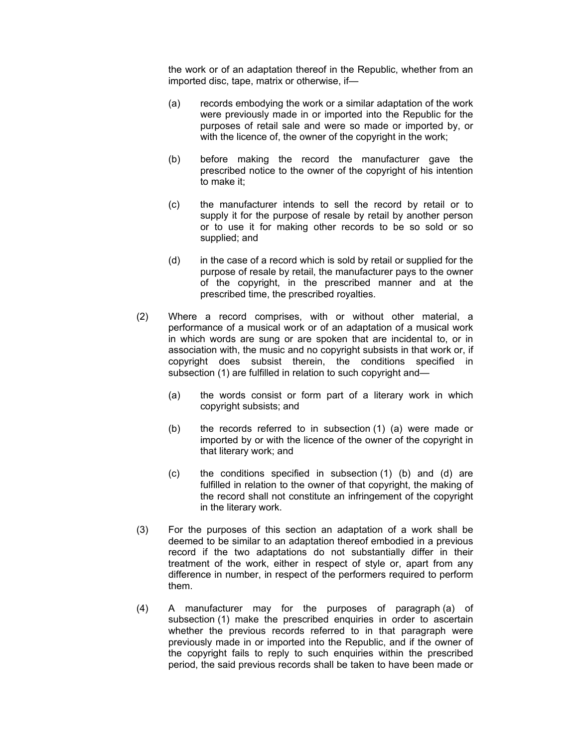the work or of an adaptation thereof in the Republic, whether from an imported disc, tape, matrix or otherwise, if—

- (a) records embodying the work or a similar adaptation of the work were previously made in or imported into the Republic for the purposes of retail sale and were so made or imported by, or with the licence of, the owner of the copyright in the work;
- (b) before making the record the manufacturer gave the prescribed notice to the owner of the copyright of his intention to make it;
- (c) the manufacturer intends to sell the record by retail or to supply it for the purpose of resale by retail by another person or to use it for making other records to be so sold or so supplied; and
- (d) in the case of a record which is sold by retail or supplied for the purpose of resale by retail, the manufacturer pays to the owner of the copyright, in the prescribed manner and at the prescribed time, the prescribed royalties.
- (2) Where a record comprises, with or without other material, a performance of a musical work or of an adaptation of a musical work in which words are sung or are spoken that are incidental to, or in association with, the music and no copyright subsists in that work or, if copyright does subsist therein, the conditions specified in subsection (1) are fulfilled in relation to such copyright and—
	- (a) the words consist or form part of a literary work in which copyright subsists; and
	- (b) the records referred to in subsection (1) (a) were made or imported by or with the licence of the owner of the copyright in that literary work; and
	- (c) the conditions specified in subsection (1) (b) and (d) are fulfilled in relation to the owner of that copyright, the making of the record shall not constitute an infringement of the copyright in the literary work.
- (3) For the purposes of this section an adaptation of a work shall be deemed to be similar to an adaptation thereof embodied in a previous record if the two adaptations do not substantially differ in their treatment of the work, either in respect of style or, apart from any difference in number, in respect of the performers required to perform them.
- (4) A manufacturer may for the purposes of paragraph (a) of subsection (1) make the prescribed enquiries in order to ascertain whether the previous records referred to in that paragraph were previously made in or imported into the Republic, and if the owner of the copyright fails to reply to such enquiries within the prescribed period, the said previous records shall be taken to have been made or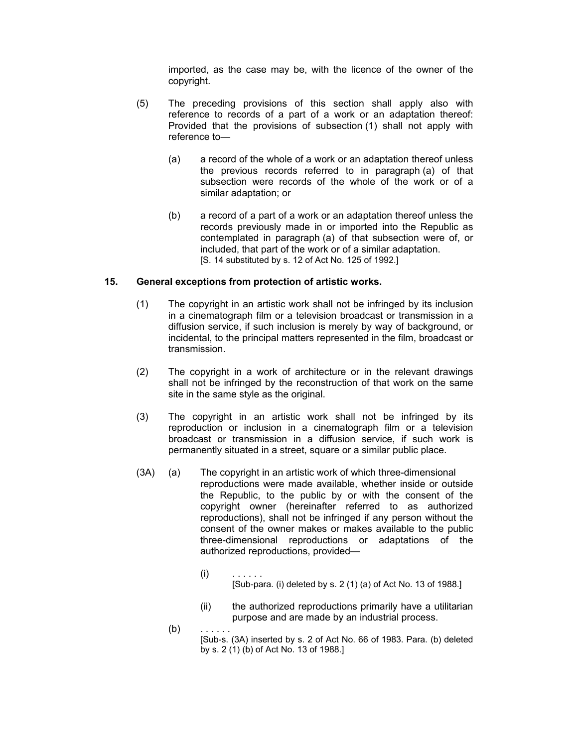imported, as the case may be, with the licence of the owner of the copyright.

- (5) The preceding provisions of this section shall apply also with reference to records of a part of a work or an adaptation thereof: Provided that the provisions of subsection (1) shall not apply with reference to—
	- (a) a record of the whole of a work or an adaptation thereof unless the previous records referred to in paragraph (a) of that subsection were records of the whole of the work or of a similar adaptation; or
	- (b) a record of a part of a work or an adaptation thereof unless the records previously made in or imported into the Republic as contemplated in paragraph (a) of that subsection were of, or included, that part of the work or of a similar adaptation. [S. 14 substituted by s. 12 of Act No. 125 of 1992.]

#### **15. General exceptions from protection of artistic works.**

- (1) The copyright in an artistic work shall not be infringed by its inclusion in a cinematograph film or a television broadcast or transmission in a diffusion service, if such inclusion is merely by way of background, or incidental, to the principal matters represented in the film, broadcast or transmission.
- (2) The copyright in a work of architecture or in the relevant drawings shall not be infringed by the reconstruction of that work on the same site in the same style as the original.
- (3) The copyright in an artistic work shall not be infringed by its reproduction or inclusion in a cinematograph film or a television broadcast or transmission in a diffusion service, if such work is permanently situated in a street, square or a similar public place.
- (3A) (a) The copyright in an artistic work of which three-dimensional reproductions were made available, whether inside or outside the Republic, to the public by or with the consent of the copyright owner (hereinafter referred to as authorized reproductions), shall not be infringed if any person without the consent of the owner makes or makes available to the public three-dimensional reproductions or adaptations of the authorized reproductions, provided—
- (i) . . . . . . [Sub-para. (i) deleted by s. 2 (1) (a) of Act No. 13 of 1988.]
	- (ii) the authorized reproductions primarily have a utilitarian purpose and are made by an industrial process.

 $(b)$ 

[Sub-s. (3A) inserted by s. 2 of Act No. 66 of 1983. Para. (b) deleted by s. 2 (1) (b) of Act No. 13 of 1988.]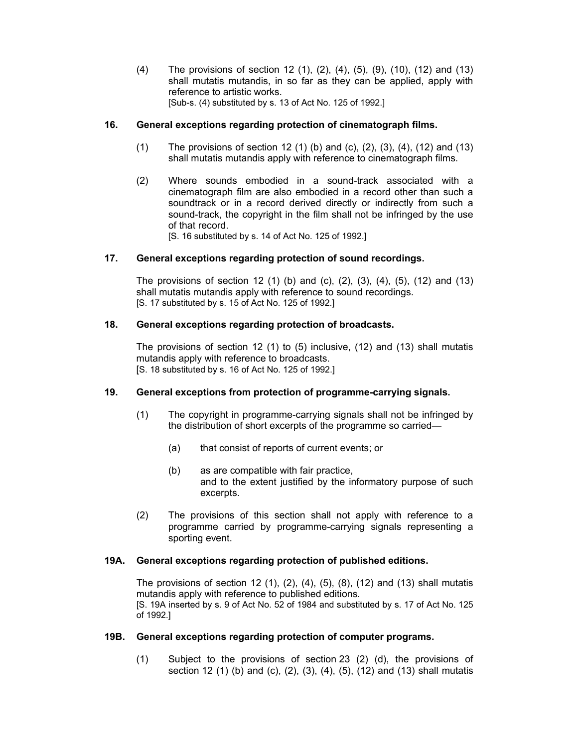(4) The provisions of section 12 (1), (2), (4), (5), (9), (10), (12) and (13) shall mutatis mutandis, in so far as they can be applied, apply with reference to artistic works. [Sub-s. (4) substituted by s. 13 of Act No. 125 of 1992.]

# **16. General exceptions regarding protection of cinematograph films.**

- (1) The provisions of section 12 (1) (b) and (c), (2), (3), (4), (12) and (13) shall mutatis mutandis apply with reference to cinematograph films.
- (2) Where sounds embodied in a sound-track associated with a cinematograph film are also embodied in a record other than such a soundtrack or in a record derived directly or indirectly from such a sound-track, the copyright in the film shall not be infringed by the use of that record.

[S. 16 substituted by s. 14 of Act No. 125 of 1992.]

## **17. General exceptions regarding protection of sound recordings.**

The provisions of section 12 (1) (b) and (c), (2), (3), (4), (5), (12) and (13) shall mutatis mutandis apply with reference to sound recordings. [S. 17 substituted by s. 15 of Act No. 125 of 1992.]

## **18. General exceptions regarding protection of broadcasts.**

The provisions of section 12 (1) to (5) inclusive, (12) and (13) shall mutatis mutandis apply with reference to broadcasts. [S. 18 substituted by s. 16 of Act No. 125 of 1992.]

#### **19. General exceptions from protection of programme-carrying signals.**

- (1) The copyright in programme-carrying signals shall not be infringed by the distribution of short excerpts of the programme so carried—
	- (a) that consist of reports of current events; or
	- (b) as are compatible with fair practice, and to the extent justified by the informatory purpose of such excerpts.
- (2) The provisions of this section shall not apply with reference to a programme carried by programme-carrying signals representing a sporting event.

#### **19A. General exceptions regarding protection of published editions.**

The provisions of section 12 (1), (2), (4), (5), (8), (12) and (13) shall mutatis mutandis apply with reference to published editions. [S. 19A inserted by s. 9 of Act No. 52 of 1984 and substituted by s. 17 of Act No. 125 of 1992.]

#### **19B. General exceptions regarding protection of computer programs.**

(1) Subject to the provisions of section 23 (2) (d), the provisions of section 12 (1) (b) and (c), (2), (3), (4), (5), (12) and (13) shall mutatis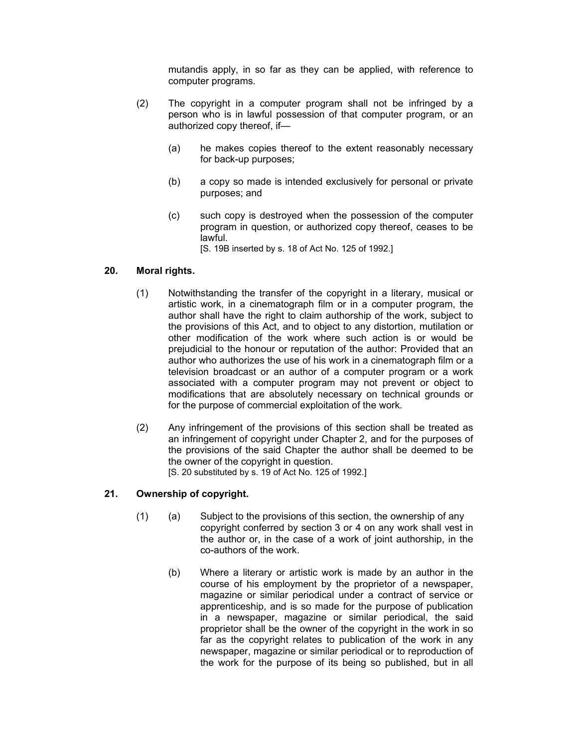mutandis apply, in so far as they can be applied, with reference to computer programs.

- (2) The copyright in a computer program shall not be infringed by a person who is in lawful possession of that computer program, or an authorized copy thereof, if—
	- (a) he makes copies thereof to the extent reasonably necessary for back-up purposes;
	- (b) a copy so made is intended exclusively for personal or private purposes; and
	- (c) such copy is destroyed when the possession of the computer program in question, or authorized copy thereof, ceases to be lawful.

[S. 19B inserted by s. 18 of Act No. 125 of 1992.]

# **20. Moral rights.**

- (1) Notwithstanding the transfer of the copyright in a literary, musical or artistic work, in a cinematograph film or in a computer program, the author shall have the right to claim authorship of the work, subject to the provisions of this Act, and to object to any distortion, mutilation or other modification of the work where such action is or would be prejudicial to the honour or reputation of the author: Provided that an author who authorizes the use of his work in a cinematograph film or a television broadcast or an author of a computer program or a work associated with a computer program may not prevent or object to modifications that are absolutely necessary on technical grounds or for the purpose of commercial exploitation of the work.
- (2) Any infringement of the provisions of this section shall be treated as an infringement of copyright under Chapter 2, and for the purposes of the provisions of the said Chapter the author shall be deemed to be the owner of the copyright in question. [S. 20 substituted by s. 19 of Act No. 125 of 1992.]

# **21. Ownership of copyright.**

- (1) (a) Subject to the provisions of this section, the ownership of any copyright conferred by section 3 or 4 on any work shall vest in the author or, in the case of a work of joint authorship, in the co-authors of the work.
	- (b) Where a literary or artistic work is made by an author in the course of his employment by the proprietor of a newspaper, magazine or similar periodical under a contract of service or apprenticeship, and is so made for the purpose of publication in a newspaper, magazine or similar periodical, the said proprietor shall be the owner of the copyright in the work in so far as the copyright relates to publication of the work in any newspaper, magazine or similar periodical or to reproduction of the work for the purpose of its being so published, but in all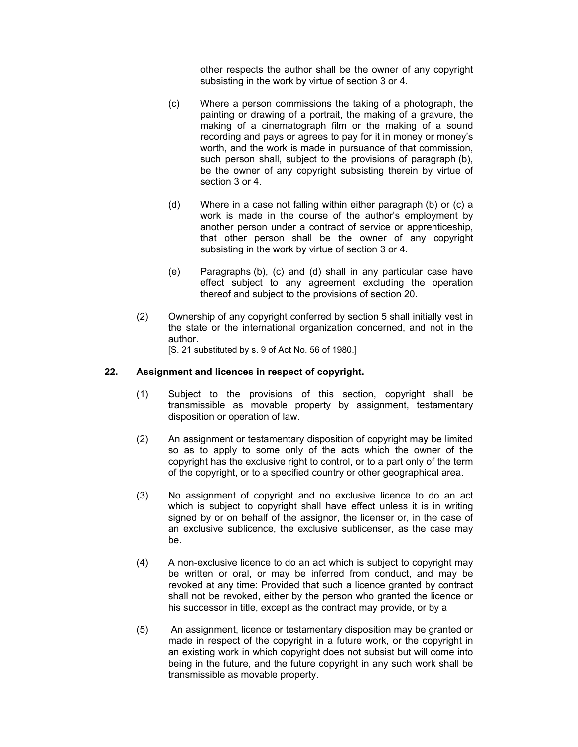other respects the author shall be the owner of any copyright subsisting in the work by virtue of section 3 or 4.

- (c) Where a person commissions the taking of a photograph, the painting or drawing of a portrait, the making of a gravure, the making of a cinematograph film or the making of a sound recording and pays or agrees to pay for it in money or money's worth, and the work is made in pursuance of that commission, such person shall, subject to the provisions of paragraph (b), be the owner of any copyright subsisting therein by virtue of section 3 or 4.
- (d) Where in a case not falling within either paragraph (b) or (c) a work is made in the course of the author's employment by another person under a contract of service or apprenticeship, that other person shall be the owner of any copyright subsisting in the work by virtue of section 3 or 4.
- (e) Paragraphs (b), (c) and (d) shall in any particular case have effect subject to any agreement excluding the operation thereof and subject to the provisions of section 20.
- (2) Ownership of any copyright conferred by section 5 shall initially vest in the state or the international organization concerned, and not in the author. [S. 21 substituted by s. 9 of Act No. 56 of 1980.]

**22. Assignment and licences in respect of copyright.**

- - (1) Subject to the provisions of this section, copyright shall be transmissible as movable property by assignment, testamentary disposition or operation of law.
	- (2) An assignment or testamentary disposition of copyright may be limited so as to apply to some only of the acts which the owner of the copyright has the exclusive right to control, or to a part only of the term of the copyright, or to a specified country or other geographical area.
	- (3) No assignment of copyright and no exclusive licence to do an act which is subject to copyright shall have effect unless it is in writing signed by or on behalf of the assignor, the licenser or, in the case of an exclusive sublicence, the exclusive sublicenser, as the case may be.
	- (4) A non-exclusive licence to do an act which is subject to copyright may be written or oral, or may be inferred from conduct, and may be revoked at any time: Provided that such a licence granted by contract shall not be revoked, either by the person who granted the licence or his successor in title, except as the contract may provide, or by a
	- (5) An assignment, licence or testamentary disposition may be granted or made in respect of the copyright in a future work, or the copyright in an existing work in which copyright does not subsist but will come into being in the future, and the future copyright in any such work shall be transmissible as movable property.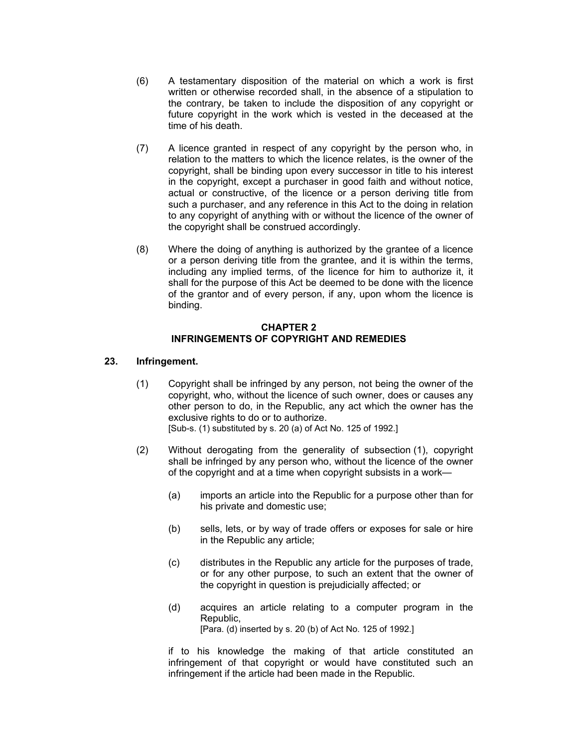- (6) A testamentary disposition of the material on which a work is first written or otherwise recorded shall, in the absence of a stipulation to the contrary, be taken to include the disposition of any copyright or future copyright in the work which is vested in the deceased at the time of his death.
- (7) A licence granted in respect of any copyright by the person who, in relation to the matters to which the licence relates, is the owner of the copyright, shall be binding upon every successor in title to his interest in the copyright, except a purchaser in good faith and without notice, actual or constructive, of the licence or a person deriving title from such a purchaser, and any reference in this Act to the doing in relation to any copyright of anything with or without the licence of the owner of the copyright shall be construed accordingly.
- (8) Where the doing of anything is authorized by the grantee of a licence or a person deriving title from the grantee, and it is within the terms, including any implied terms, of the licence for him to authorize it, it shall for the purpose of this Act be deemed to be done with the licence of the grantor and of every person, if any, upon whom the licence is binding.

## **CHAPTER 2 INFRINGEMENTS OF COPYRIGHT AND REMEDIES**

# **23. Infringement.**

- (1) Copyright shall be infringed by any person, not being the owner of the copyright, who, without the licence of such owner, does or causes any other person to do, in the Republic, any act which the owner has the exclusive rights to do or to authorize. [Sub-s. (1) substituted by s. 20 (a) of Act No. 125 of 1992.]
- (2) Without derogating from the generality of subsection (1), copyright shall be infringed by any person who, without the licence of the owner of the copyright and at a time when copyright subsists in a work—
	- (a) imports an article into the Republic for a purpose other than for his private and domestic use;
	- (b) sells, lets, or by way of trade offers or exposes for sale or hire in the Republic any article;
	- (c) distributes in the Republic any article for the purposes of trade, or for any other purpose, to such an extent that the owner of the copyright in question is prejudicially affected; or
	- (d) acquires an article relating to a computer program in the Republic, [Para. (d) inserted by s. 20 (b) of Act No. 125 of 1992.]

if to his knowledge the making of that article constituted an infringement of that copyright or would have constituted such an infringement if the article had been made in the Republic.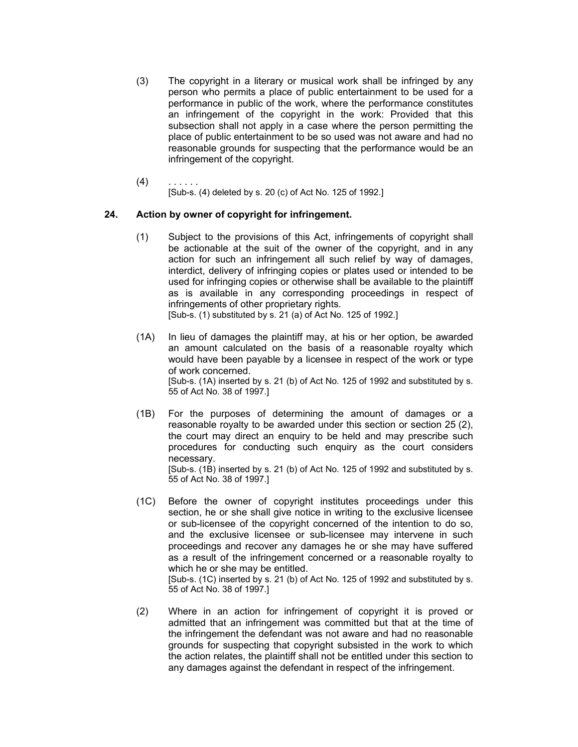- (3) The copyright in a literary or musical work shall be infringed by any person who permits a place of public entertainment to be used for a performance in public of the work, where the performance constitutes an infringement of the copyright in the work: Provided that this subsection shall not apply in a case where the person permitting the place of public entertainment to be so used was not aware and had no reasonable grounds for suspecting that the performance would be an infringement of the copyright.
- $(4)$ [Sub-s. (4) deleted by s. 20 (c) of Act No. 125 of 1992.]

# **24. Action by owner of copyright for infringement.**

(1) Subject to the provisions of this Act, infringements of copyright shall be actionable at the suit of the owner of the copyright, and in any action for such an infringement all such relief by way of damages, interdict, delivery of infringing copies or plates used or intended to be used for infringing copies or otherwise shall be available to the plaintiff as is available in any corresponding proceedings in respect of infringements of other proprietary rights.

[Sub-s. (1) substituted by s. 21 (a) of Act No. 125 of 1992.]

- (1A) In lieu of damages the plaintiff may, at his or her option, be awarded an amount calculated on the basis of a reasonable royalty which would have been payable by a licensee in respect of the work or type of work concerned. [Sub-s. (1A) inserted by s. 21 (b) of Act No. 125 of 1992 and substituted by s. 55 of Act No. 38 of 1997.]
- (1B) For the purposes of determining the amount of damages or a reasonable royalty to be awarded under this section or section 25 (2), the court may direct an enquiry to be held and may prescribe such procedures for conducting such enquiry as the court considers necessary. [Sub-s. (1B) inserted by s. 21 (b) of Act No. 125 of 1992 and substituted by s. 55 of Act No. 38 of 1997.]
- (1C) Before the owner of copyright institutes proceedings under this section, he or she shall give notice in writing to the exclusive licensee or sub-licensee of the copyright concerned of the intention to do so, and the exclusive licensee or sub-licensee may intervene in such proceedings and recover any damages he or she may have suffered as a result of the infringement concerned or a reasonable royalty to which he or she may be entitled. [Sub-s. (1C) inserted by s. 21 (b) of Act No. 125 of 1992 and substituted by s. 55 of Act No. 38 of 1997.]
- (2) Where in an action for infringement of copyright it is proved or admitted that an infringement was committed but that at the time of the infringement the defendant was not aware and had no reasonable grounds for suspecting that copyright subsisted in the work to which the action relates, the plaintiff shall not be entitled under this section to any damages against the defendant in respect of the infringement.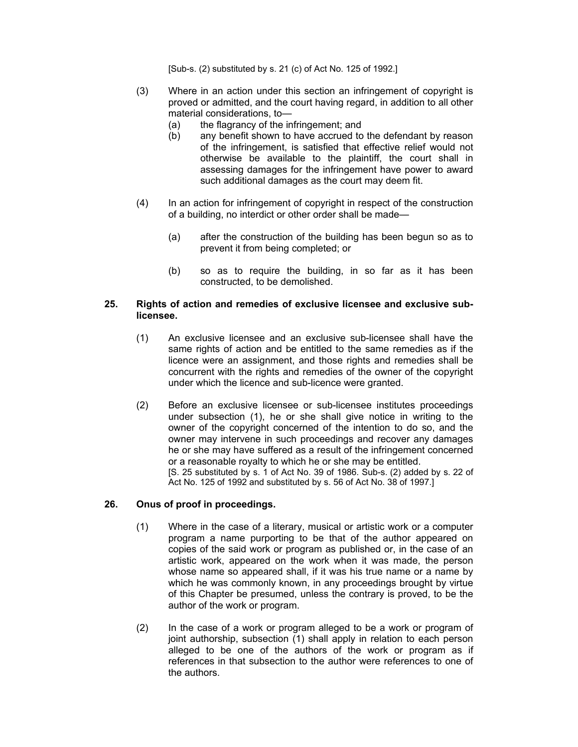[Sub-s. (2) substituted by s. 21 (c) of Act No. 125 of 1992.]

- (3) Where in an action under this section an infringement of copyright is proved or admitted, and the court having regard, in addition to all other material considerations, to—
	- (a) the flagrancy of the infringement; and
	- (b) any benefit shown to have accrued to the defendant by reason of the infringement, is satisfied that effective relief would not otherwise be available to the plaintiff, the court shall in assessing damages for the infringement have power to award such additional damages as the court may deem fit.
- (4) In an action for infringement of copyright in respect of the construction of a building, no interdict or other order shall be made—
	- (a) after the construction of the building has been begun so as to prevent it from being completed; or
	- (b) so as to require the building, in so far as it has been constructed, to be demolished.

## **25. Rights of action and remedies of exclusive licensee and exclusive sublicensee.**

- (1) An exclusive licensee and an exclusive sub-licensee shall have the same rights of action and be entitled to the same remedies as if the licence were an assignment, and those rights and remedies shall be concurrent with the rights and remedies of the owner of the copyright under which the licence and sub-licence were granted.
- (2) Before an exclusive licensee or sub-licensee institutes proceedings under subsection (1), he or she shall give notice in writing to the owner of the copyright concerned of the intention to do so, and the owner may intervene in such proceedings and recover any damages he or she may have suffered as a result of the infringement concerned or a reasonable royalty to which he or she may be entitled. [S. 25 substituted by s. 1 of Act No. 39 of 1986. Sub-s. (2) added by s. 22 of Act No. 125 of 1992 and substituted by s. 56 of Act No. 38 of 1997.]

#### **26. Onus of proof in proceedings.**

- (1) Where in the case of a literary, musical or artistic work or a computer program a name purporting to be that of the author appeared on copies of the said work or program as published or, in the case of an artistic work, appeared on the work when it was made, the person whose name so appeared shall, if it was his true name or a name by which he was commonly known, in any proceedings brought by virtue of this Chapter be presumed, unless the contrary is proved, to be the author of the work or program.
- (2) In the case of a work or program alleged to be a work or program of joint authorship, subsection (1) shall apply in relation to each person alleged to be one of the authors of the work or program as if references in that subsection to the author were references to one of the authors.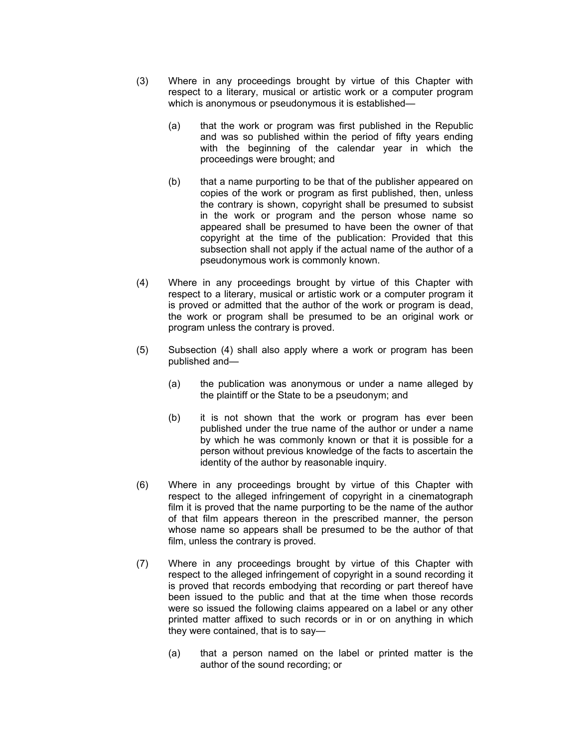- (3) Where in any proceedings brought by virtue of this Chapter with respect to a literary, musical or artistic work or a computer program which is anonymous or pseudonymous it is established—
	- (a) that the work or program was first published in the Republic and was so published within the period of fifty years ending with the beginning of the calendar year in which the proceedings were brought; and
	- (b) that a name purporting to be that of the publisher appeared on copies of the work or program as first published, then, unless the contrary is shown, copyright shall be presumed to subsist in the work or program and the person whose name so appeared shall be presumed to have been the owner of that copyright at the time of the publication: Provided that this subsection shall not apply if the actual name of the author of a pseudonymous work is commonly known.
- (4) Where in any proceedings brought by virtue of this Chapter with respect to a literary, musical or artistic work or a computer program it is proved or admitted that the author of the work or program is dead, the work or program shall be presumed to be an original work or program unless the contrary is proved.
- (5) Subsection (4) shall also apply where a work or program has been published and—
	- (a) the publication was anonymous or under a name alleged by the plaintiff or the State to be a pseudonym; and
	- (b) it is not shown that the work or program has ever been published under the true name of the author or under a name by which he was commonly known or that it is possible for a person without previous knowledge of the facts to ascertain the identity of the author by reasonable inquiry.
- (6) Where in any proceedings brought by virtue of this Chapter with respect to the alleged infringement of copyright in a cinematograph film it is proved that the name purporting to be the name of the author of that film appears thereon in the prescribed manner, the person whose name so appears shall be presumed to be the author of that film, unless the contrary is proved.
- (7) Where in any proceedings brought by virtue of this Chapter with respect to the alleged infringement of copyright in a sound recording it is proved that records embodying that recording or part thereof have been issued to the public and that at the time when those records were so issued the following claims appeared on a label or any other printed matter affixed to such records or in or on anything in which they were contained, that is to say—
	- (a) that a person named on the label or printed matter is the author of the sound recording; or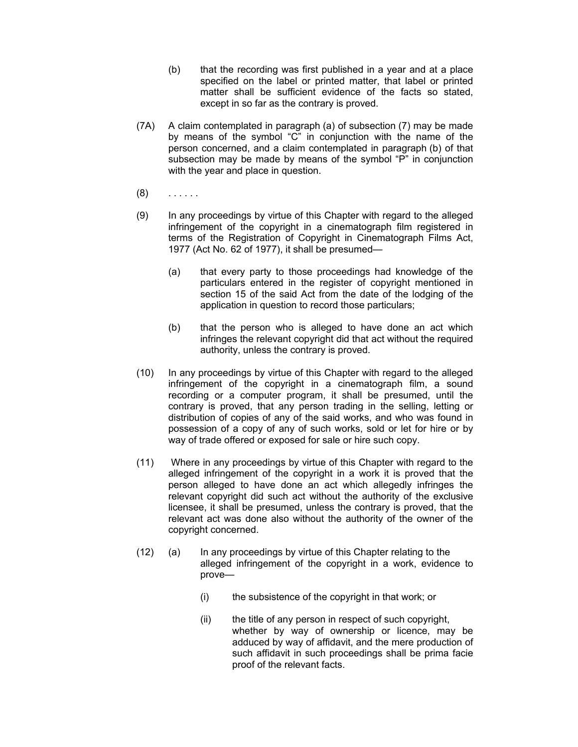- (b) that the recording was first published in a year and at a place specified on the label or printed matter, that label or printed matter shall be sufficient evidence of the facts so stated, except in so far as the contrary is proved.
- (7A) A claim contemplated in paragraph (a) of subsection (7) may be made by means of the symbol "C" in conjunction with the name of the person concerned, and a claim contemplated in paragraph (b) of that subsection may be made by means of the symbol "P" in conjunction with the year and place in question.
- $(8)$  . . . . . .
- (9) In any proceedings by virtue of this Chapter with regard to the alleged infringement of the copyright in a cinematograph film registered in terms of the Registration of Copyright in Cinematograph Films Act, 1977 (Act No. 62 of 1977), it shall be presumed—
	- (a) that every party to those proceedings had knowledge of the particulars entered in the register of copyright mentioned in section 15 of the said Act from the date of the lodging of the application in question to record those particulars;
	- (b) that the person who is alleged to have done an act which infringes the relevant copyright did that act without the required authority, unless the contrary is proved.
- (10) In any proceedings by virtue of this Chapter with regard to the alleged infringement of the copyright in a cinematograph film, a sound recording or a computer program, it shall be presumed, until the contrary is proved, that any person trading in the selling, letting or distribution of copies of any of the said works, and who was found in possession of a copy of any of such works, sold or let for hire or by way of trade offered or exposed for sale or hire such copy.
- (11) Where in any proceedings by virtue of this Chapter with regard to the alleged infringement of the copyright in a work it is proved that the person alleged to have done an act which allegedly infringes the relevant copyright did such act without the authority of the exclusive licensee, it shall be presumed, unless the contrary is proved, that the relevant act was done also without the authority of the owner of the copyright concerned.
- (12) (a) In any proceedings by virtue of this Chapter relating to the alleged infringement of the copyright in a work, evidence to prove—
	- (i) the subsistence of the copyright in that work; or
	- (ii) the title of any person in respect of such copyright, whether by way of ownership or licence, may be adduced by way of affidavit, and the mere production of such affidavit in such proceedings shall be prima facie proof of the relevant facts.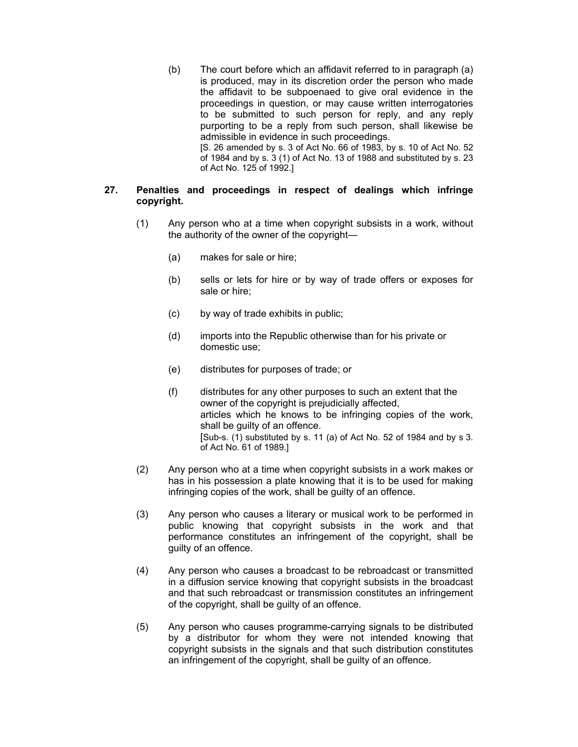(b) The court before which an affidavit referred to in paragraph (a) is produced, may in its discretion order the person who made the affidavit to be subpoenaed to give oral evidence in the proceedings in question, or may cause written interrogatories to be submitted to such person for reply, and any reply purporting to be a reply from such person, shall likewise be admissible in evidence in such proceedings. [S. 26 amended by s. 3 of Act No. 66 of 1983, by s. 10 of Act No. 52 of 1984 and by s. 3 (1) of Act No. 13 of 1988 and substituted by s. 23 of Act No. 125 of 1992.]

## **27. Penalties and proceedings in respect of dealings which infringe copyright.**

- (1) Any person who at a time when copyright subsists in a work, without the authority of the owner of the copyright—
	- (a) makes for sale or hire;
	- (b) sells or lets for hire or by way of trade offers or exposes for sale or hire;
	- (c) by way of trade exhibits in public;
	- (d) imports into the Republic otherwise than for his private or domestic use;
	- (e) distributes for purposes of trade; or
	- (f) distributes for any other purposes to such an extent that the owner of the copyright is prejudicially affected, articles which he knows to be infringing copies of the work, shall be guilty of an offence. [Sub-s. (1) substituted by s. 11 (a) of Act No. 52 of 1984 and by s 3. of Act No. 61 of 1989.]
- (2) Any person who at a time when copyright subsists in a work makes or has in his possession a plate knowing that it is to be used for making infringing copies of the work, shall be guilty of an offence.
- (3) Any person who causes a literary or musical work to be performed in public knowing that copyright subsists in the work and that performance constitutes an infringement of the copyright, shall be guilty of an offence.
- (4) Any person who causes a broadcast to be rebroadcast or transmitted in a diffusion service knowing that copyright subsists in the broadcast and that such rebroadcast or transmission constitutes an infringement of the copyright, shall be guilty of an offence.
- (5) Any person who causes programme-carrying signals to be distributed by a distributor for whom they were not intended knowing that copyright subsists in the signals and that such distribution constitutes an infringement of the copyright, shall be guilty of an offence.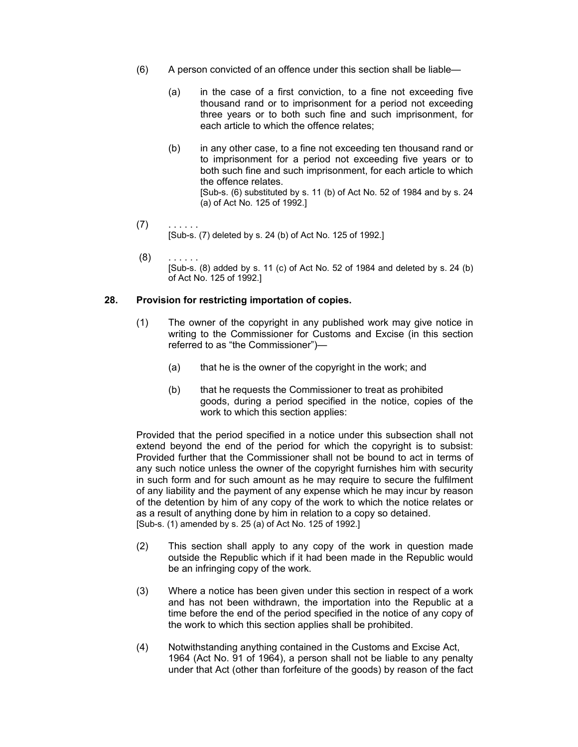- (6) A person convicted of an offence under this section shall be liable—
	- (a) in the case of a first conviction, to a fine not exceeding five thousand rand or to imprisonment for a period not exceeding three years or to both such fine and such imprisonment, for each article to which the offence relates;
	- (b) in any other case, to a fine not exceeding ten thousand rand or to imprisonment for a period not exceeding five years or to both such fine and such imprisonment, for each article to which the offence relates. [Sub-s. (6) substituted by s. 11 (b) of Act No. 52 of 1984 and by s. 24 (a) of Act No. 125 of 1992.]
- $(7)$  . . . . . . [Sub-s. (7) deleted by s. 24 (b) of Act No. 125 of 1992.]
- $(8)$ [Sub-s. (8) added by s. 11 (c) of Act No. 52 of 1984 and deleted by s. 24 (b) of Act No. 125 of 1992.]

## **28. Provision for restricting importation of copies.**

- (1) The owner of the copyright in any published work may give notice in writing to the Commissioner for Customs and Excise (in this section referred to as "the Commissioner")—
	- (a) that he is the owner of the copyright in the work; and
	- (b) that he requests the Commissioner to treat as prohibited goods, during a period specified in the notice, copies of the work to which this section applies:

Provided that the period specified in a notice under this subsection shall not extend beyond the end of the period for which the copyright is to subsist: Provided further that the Commissioner shall not be bound to act in terms of any such notice unless the owner of the copyright furnishes him with security in such form and for such amount as he may require to secure the fulfilment of any liability and the payment of any expense which he may incur by reason of the detention by him of any copy of the work to which the notice relates or as a result of anything done by him in relation to a copy so detained. [Sub-s. (1) amended by s. 25 (a) of Act No. 125 of 1992.]

- (2) This section shall apply to any copy of the work in question made outside the Republic which if it had been made in the Republic would be an infringing copy of the work.
- (3) Where a notice has been given under this section in respect of a work and has not been withdrawn, the importation into the Republic at a time before the end of the period specified in the notice of any copy of the work to which this section applies shall be prohibited.
- (4) Notwithstanding anything contained in the Customs and Excise Act, 1964 (Act No. 91 of 1964), a person shall not be liable to any penalty under that Act (other than forfeiture of the goods) by reason of the fact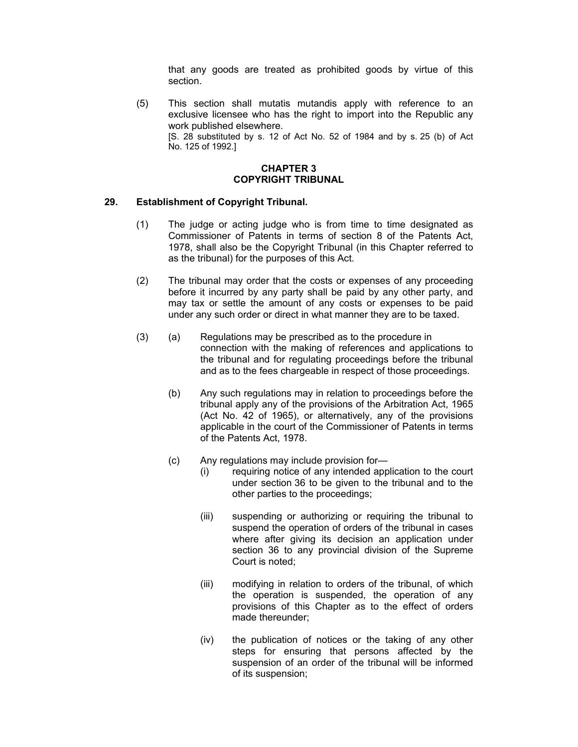that any goods are treated as prohibited goods by virtue of this section.

(5) This section shall mutatis mutandis apply with reference to an exclusive licensee who has the right to import into the Republic any work published elsewhere. [S. 28 substituted by s. 12 of Act No. 52 of 1984 and by s. 25 (b) of Act No. 125 of 1992.]

## **CHAPTER 3 COPYRIGHT TRIBUNAL**

## **29. Establishment of Copyright Tribunal.**

- (1) The judge or acting judge who is from time to time designated as Commissioner of Patents in terms of section 8 of the Patents Act, 1978, shall also be the Copyright Tribunal (in this Chapter referred to as the tribunal) for the purposes of this Act.
- (2) The tribunal may order that the costs or expenses of any proceeding before it incurred by any party shall be paid by any other party, and may tax or settle the amount of any costs or expenses to be paid under any such order or direct in what manner they are to be taxed.
- (3) (a) Regulations may be prescribed as to the procedure in connection with the making of references and applications to the tribunal and for regulating proceedings before the tribunal and as to the fees chargeable in respect of those proceedings.
	- (b) Any such regulations may in relation to proceedings before the tribunal apply any of the provisions of the Arbitration Act, 1965 (Act No. 42 of 1965), or alternatively, any of the provisions applicable in the court of the Commissioner of Patents in terms of the Patents Act, 1978.
	- (c) Any regulations may include provision for—
		- (i) requiring notice of any intended application to the court under section 36 to be given to the tribunal and to the other parties to the proceedings;
		- (iii) suspending or authorizing or requiring the tribunal to suspend the operation of orders of the tribunal in cases where after giving its decision an application under section 36 to any provincial division of the Supreme Court is noted;
		- (iii) modifying in relation to orders of the tribunal, of which the operation is suspended, the operation of any provisions of this Chapter as to the effect of orders made thereunder;
		- (iv) the publication of notices or the taking of any other steps for ensuring that persons affected by the suspension of an order of the tribunal will be informed of its suspension;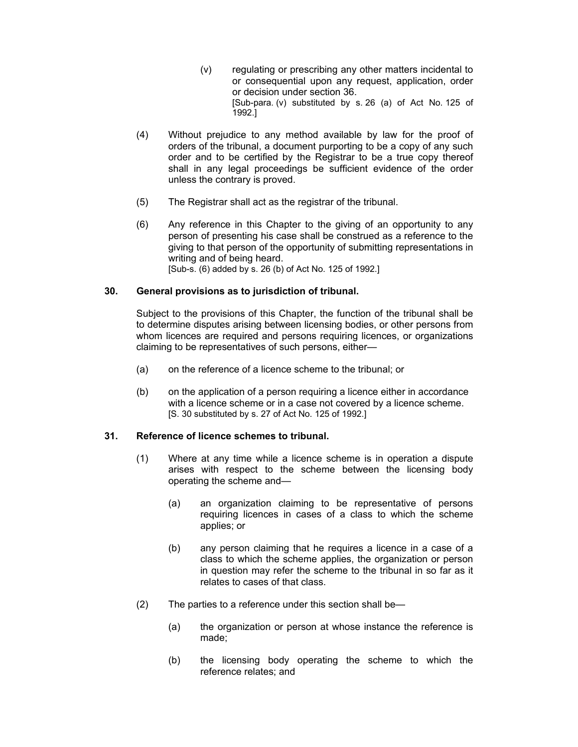- (v) regulating or prescribing any other matters incidental to or consequential upon any request, application, order or decision under section 36. [Sub-para. (v) substituted by s. 26 (a) of Act No. 125 of 1992.]
- (4) Without prejudice to any method available by law for the proof of orders of the tribunal, a document purporting to be a copy of any such order and to be certified by the Registrar to be a true copy thereof shall in any legal proceedings be sufficient evidence of the order unless the contrary is proved.
- (5) The Registrar shall act as the registrar of the tribunal.
- (6) Any reference in this Chapter to the giving of an opportunity to any person of presenting his case shall be construed as a reference to the giving to that person of the opportunity of submitting representations in writing and of being heard. [Sub-s. (6) added by s. 26 (b) of Act No. 125 of 1992.]

## **30. General provisions as to jurisdiction of tribunal.**

Subject to the provisions of this Chapter, the function of the tribunal shall be to determine disputes arising between licensing bodies, or other persons from whom licences are required and persons requiring licences, or organizations claiming to be representatives of such persons, either—

- (a) on the reference of a licence scheme to the tribunal; or
- (b) on the application of a person requiring a licence either in accordance with a licence scheme or in a case not covered by a licence scheme. [S. 30 substituted by s. 27 of Act No. 125 of 1992.]

#### **31. Reference of licence schemes to tribunal.**

- (1) Where at any time while a licence scheme is in operation a dispute arises with respect to the scheme between the licensing body operating the scheme and—
	- (a) an organization claiming to be representative of persons requiring licences in cases of a class to which the scheme applies; or
	- (b) any person claiming that he requires a licence in a case of a class to which the scheme applies, the organization or person in question may refer the scheme to the tribunal in so far as it relates to cases of that class.
- (2) The parties to a reference under this section shall be—
	- (a) the organization or person at whose instance the reference is made;
	- (b) the licensing body operating the scheme to which the reference relates; and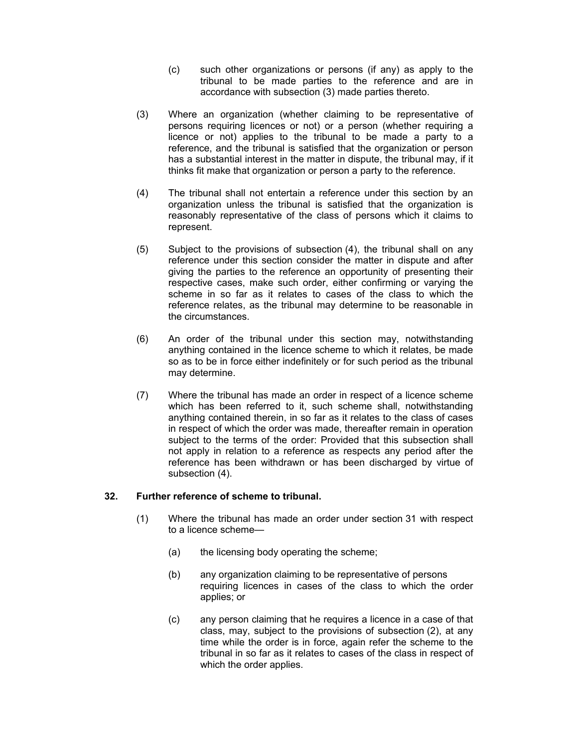- (c) such other organizations or persons (if any) as apply to the tribunal to be made parties to the reference and are in accordance with subsection (3) made parties thereto.
- (3) Where an organization (whether claiming to be representative of persons requiring licences or not) or a person (whether requiring a licence or not) applies to the tribunal to be made a party to a reference, and the tribunal is satisfied that the organization or person has a substantial interest in the matter in dispute, the tribunal may, if it thinks fit make that organization or person a party to the reference.
- (4) The tribunal shall not entertain a reference under this section by an organization unless the tribunal is satisfied that the organization is reasonably representative of the class of persons which it claims to represent.
- (5) Subject to the provisions of subsection (4), the tribunal shall on any reference under this section consider the matter in dispute and after giving the parties to the reference an opportunity of presenting their respective cases, make such order, either confirming or varying the scheme in so far as it relates to cases of the class to which the reference relates, as the tribunal may determine to be reasonable in the circumstances.
- (6) An order of the tribunal under this section may, notwithstanding anything contained in the licence scheme to which it relates, be made so as to be in force either indefinitely or for such period as the tribunal may determine.
- (7) Where the tribunal has made an order in respect of a licence scheme which has been referred to it, such scheme shall, notwithstanding anything contained therein, in so far as it relates to the class of cases in respect of which the order was made, thereafter remain in operation subject to the terms of the order: Provided that this subsection shall not apply in relation to a reference as respects any period after the reference has been withdrawn or has been discharged by virtue of subsection (4).

# **32. Further reference of scheme to tribunal.**

- (1) Where the tribunal has made an order under section 31 with respect to a licence scheme—
	- (a) the licensing body operating the scheme;
	- (b) any organization claiming to be representative of persons requiring licences in cases of the class to which the order applies; or
	- (c) any person claiming that he requires a licence in a case of that class, may, subject to the provisions of subsection (2), at any time while the order is in force, again refer the scheme to the tribunal in so far as it relates to cases of the class in respect of which the order applies.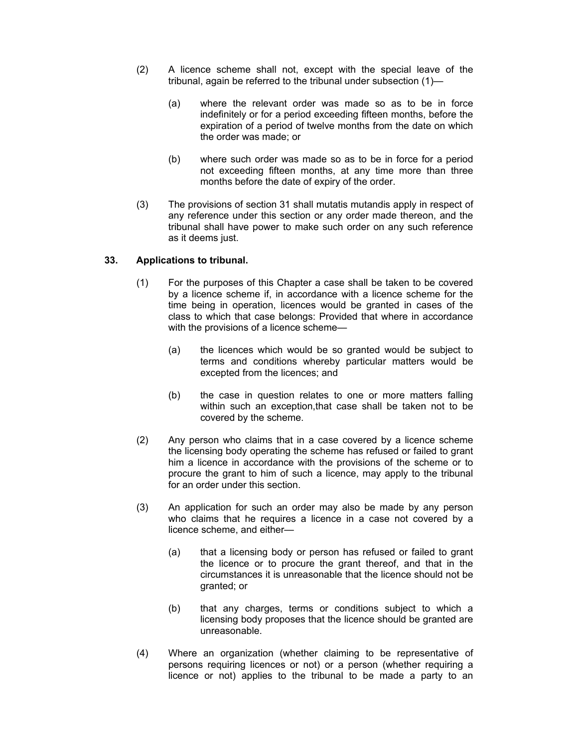- (2) A licence scheme shall not, except with the special leave of the tribunal, again be referred to the tribunal under subsection (1)—
	- (a) where the relevant order was made so as to be in force indefinitely or for a period exceeding fifteen months, before the expiration of a period of twelve months from the date on which the order was made; or
	- (b) where such order was made so as to be in force for a period not exceeding fifteen months, at any time more than three months before the date of expiry of the order.
- (3) The provisions of section 31 shall mutatis mutandis apply in respect of any reference under this section or any order made thereon, and the tribunal shall have power to make such order on any such reference as it deems just.

# **33. Applications to tribunal.**

- (1) For the purposes of this Chapter a case shall be taken to be covered by a licence scheme if, in accordance with a licence scheme for the time being in operation, licences would be granted in cases of the class to which that case belongs: Provided that where in accordance with the provisions of a licence scheme—
	- (a) the licences which would be so granted would be subject to terms and conditions whereby particular matters would be excepted from the licences; and
	- (b) the case in question relates to one or more matters falling within such an exception,that case shall be taken not to be covered by the scheme.
- (2) Any person who claims that in a case covered by a licence scheme the licensing body operating the scheme has refused or failed to grant him a licence in accordance with the provisions of the scheme or to procure the grant to him of such a licence, may apply to the tribunal for an order under this section.
- (3) An application for such an order may also be made by any person who claims that he requires a licence in a case not covered by a licence scheme, and either—
	- (a) that a licensing body or person has refused or failed to grant the licence or to procure the grant thereof, and that in the circumstances it is unreasonable that the licence should not be granted; or
	- (b) that any charges, terms or conditions subject to which a licensing body proposes that the licence should be granted are unreasonable.
- (4) Where an organization (whether claiming to be representative of persons requiring licences or not) or a person (whether requiring a licence or not) applies to the tribunal to be made a party to an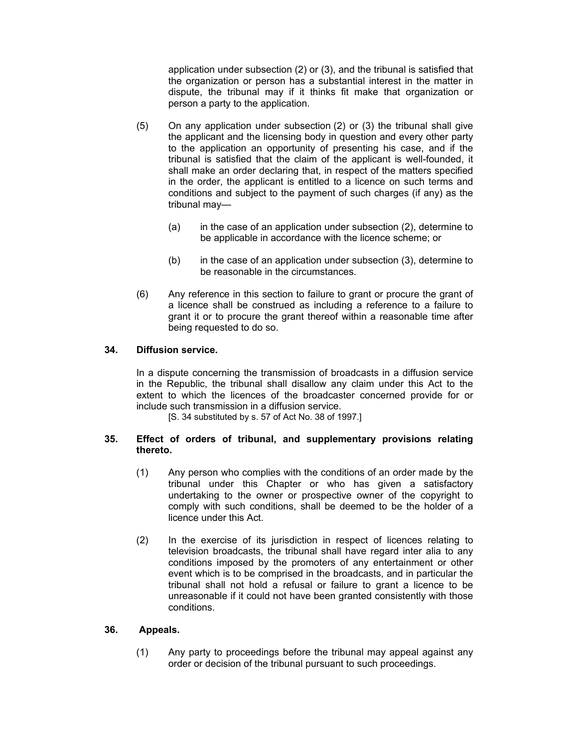application under subsection (2) or (3), and the tribunal is satisfied that the organization or person has a substantial interest in the matter in dispute, the tribunal may if it thinks fit make that organization or person a party to the application.

- (5) On any application under subsection (2) or (3) the tribunal shall give the applicant and the licensing body in question and every other party to the application an opportunity of presenting his case, and if the tribunal is satisfied that the claim of the applicant is well-founded, it shall make an order declaring that, in respect of the matters specified in the order, the applicant is entitled to a licence on such terms and conditions and subject to the payment of such charges (if any) as the tribunal may—
	- (a) in the case of an application under subsection (2), determine to be applicable in accordance with the licence scheme; or
	- (b) in the case of an application under subsection (3), determine to be reasonable in the circumstances.
- (6) Any reference in this section to failure to grant or procure the grant of a licence shall be construed as including a reference to a failure to grant it or to procure the grant thereof within a reasonable time after being requested to do so.

## **34. Diffusion service.**

In a dispute concerning the transmission of broadcasts in a diffusion service in the Republic, the tribunal shall disallow any claim under this Act to the extent to which the licences of the broadcaster concerned provide for or include such transmission in a diffusion service.

[S. 34 substituted by s. 57 of Act No. 38 of 1997.]

## **35. Effect of orders of tribunal, and supplementary provisions relating thereto.**

- (1) Any person who complies with the conditions of an order made by the tribunal under this Chapter or who has given a satisfactory undertaking to the owner or prospective owner of the copyright to comply with such conditions, shall be deemed to be the holder of a licence under this Act.
- (2) In the exercise of its jurisdiction in respect of licences relating to television broadcasts, the tribunal shall have regard inter alia to any conditions imposed by the promoters of any entertainment or other event which is to be comprised in the broadcasts, and in particular the tribunal shall not hold a refusal or failure to grant a licence to be unreasonable if it could not have been granted consistently with those conditions.

#### **36. Appeals.**

(1) Any party to proceedings before the tribunal may appeal against any order or decision of the tribunal pursuant to such proceedings.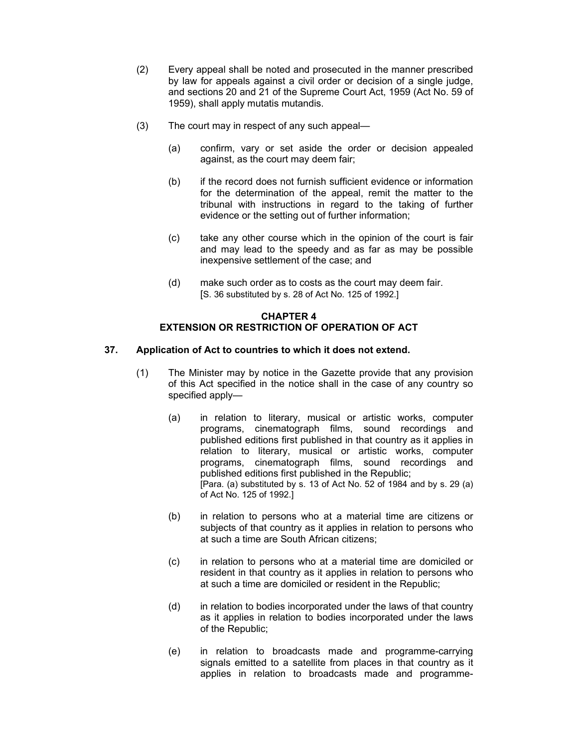- (2) Every appeal shall be noted and prosecuted in the manner prescribed by law for appeals against a civil order or decision of a single judge, and sections 20 and 21 of the Supreme Court Act, 1959 (Act No. 59 of 1959), shall apply mutatis mutandis.
- (3) The court may in respect of any such appeal—
	- (a) confirm, vary or set aside the order or decision appealed against, as the court may deem fair;
	- (b) if the record does not furnish sufficient evidence or information for the determination of the appeal, remit the matter to the tribunal with instructions in regard to the taking of further evidence or the setting out of further information;
	- (c) take any other course which in the opinion of the court is fair and may lead to the speedy and as far as may be possible inexpensive settlement of the case; and
	- (d) make such order as to costs as the court may deem fair. [S. 36 substituted by s. 28 of Act No. 125 of 1992.]

# **CHAPTER 4 EXTENSION OR RESTRICTION OF OPERATION OF ACT**

# **37. Application of Act to countries to which it does not extend.**

- (1) The Minister may by notice in the Gazette provide that any provision of this Act specified in the notice shall in the case of any country so specified apply—
	- (a) in relation to literary, musical or artistic works, computer programs, cinematograph films, sound recordings and published editions first published in that country as it applies in relation to literary, musical or artistic works, computer programs, cinematograph films, sound recordings and published editions first published in the Republic; [Para. (a) substituted by s. 13 of Act No. 52 of 1984 and by s. 29 (a) of Act No. 125 of 1992.]
	- (b) in relation to persons who at a material time are citizens or subjects of that country as it applies in relation to persons who at such a time are South African citizens;
	- (c) in relation to persons who at a material time are domiciled or resident in that country as it applies in relation to persons who at such a time are domiciled or resident in the Republic;
	- (d) in relation to bodies incorporated under the laws of that country as it applies in relation to bodies incorporated under the laws of the Republic;
	- (e) in relation to broadcasts made and programme-carrying signals emitted to a satellite from places in that country as it applies in relation to broadcasts made and programme-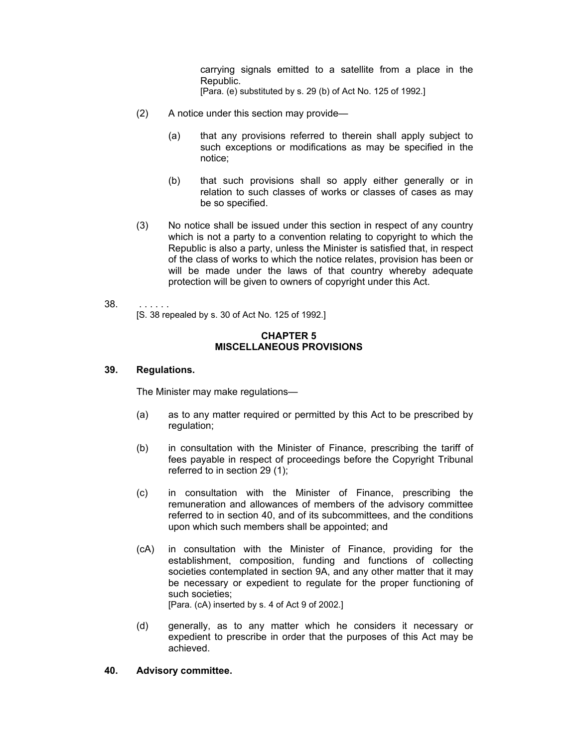carrying signals emitted to a satellite from a place in the Republic. [Para. (e) substituted by s. 29 (b) of Act No. 125 of 1992.]

- (2) A notice under this section may provide—
	- (a) that any provisions referred to therein shall apply subject to such exceptions or modifications as may be specified in the notice;
	- (b) that such provisions shall so apply either generally or in relation to such classes of works or classes of cases as may be so specified.
- (3) No notice shall be issued under this section in respect of any country which is not a party to a convention relating to copyright to which the Republic is also a party, unless the Minister is satisfied that, in respect of the class of works to which the notice relates, provision has been or will be made under the laws of that country whereby adequate protection will be given to owners of copyright under this Act.
- 38. . . . . . . [S. 38 repealed by s. 30 of Act No. 125 of 1992.]

## **CHAPTER 5 MISCELLANEOUS PROVISIONS**

## **39. Regulations.**

The Minister may make regulations—

- (a) as to any matter required or permitted by this Act to be prescribed by regulation;
- (b) in consultation with the Minister of Finance, prescribing the tariff of fees payable in respect of proceedings before the Copyright Tribunal referred to in section 29 (1);
- (c) in consultation with the Minister of Finance, prescribing the remuneration and allowances of members of the advisory committee referred to in section 40, and of its subcommittees, and the conditions upon which such members shall be appointed; and
- (cA) in consultation with the Minister of Finance, providing for the establishment, composition, funding and functions of collecting societies contemplated in section 9A, and any other matter that it may be necessary or expedient to regulate for the proper functioning of such societies; [Para. (cA) inserted by s. 4 of Act 9 of 2002.]
- (d) generally, as to any matter which he considers it necessary or expedient to prescribe in order that the purposes of this Act may be achieved.

## **40. Advisory committee.**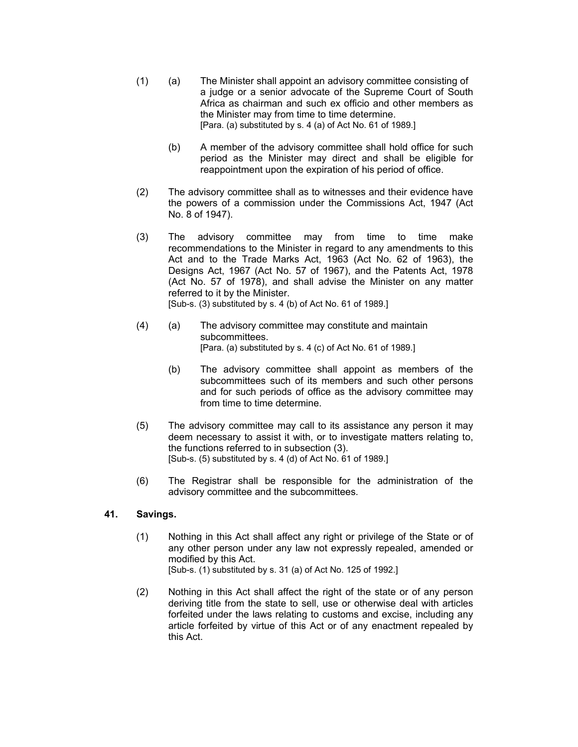- (1) (a) The Minister shall appoint an advisory committee consisting of a judge or a senior advocate of the Supreme Court of South Africa as chairman and such ex officio and other members as the Minister may from time to time determine. [Para. (a) substituted by s. 4 (a) of Act No. 61 of 1989.]
	- (b) A member of the advisory committee shall hold office for such period as the Minister may direct and shall be eligible for reappointment upon the expiration of his period of office.
- (2) The advisory committee shall as to witnesses and their evidence have the powers of a commission under the Commissions Act, 1947 (Act No. 8 of 1947).
- (3) The advisory committee may from time to time make recommendations to the Minister in regard to any amendments to this Act and to the Trade Marks Act, 1963 (Act No. 62 of 1963), the Designs Act, 1967 (Act No. 57 of 1967), and the Patents Act, 1978 (Act No. 57 of 1978), and shall advise the Minister on any matter referred to it by the Minister. [Sub-s. (3) substituted by s. 4 (b) of Act No. 61 of 1989.]
- (4) (a) The advisory committee may constitute and maintain subcommittees. [Para. (a) substituted by s. 4 (c) of Act No. 61 of 1989.]
	- (b) The advisory committee shall appoint as members of the subcommittees such of its members and such other persons and for such periods of office as the advisory committee may from time to time determine.
- (5) The advisory committee may call to its assistance any person it may deem necessary to assist it with, or to investigate matters relating to, the functions referred to in subsection (3). [Sub-s. (5) substituted by s. 4 (d) of Act No. 61 of 1989.]
- (6) The Registrar shall be responsible for the administration of the advisory committee and the subcommittees.

# **41. Savings.**

- (1) Nothing in this Act shall affect any right or privilege of the State or of any other person under any law not expressly repealed, amended or modified by this Act. [Sub-s. (1) substituted by s. 31 (a) of Act No. 125 of 1992.]
- (2) Nothing in this Act shall affect the right of the state or of any person deriving title from the state to sell, use or otherwise deal with articles forfeited under the laws relating to customs and excise, including any article forfeited by virtue of this Act or of any enactment repealed by this Act.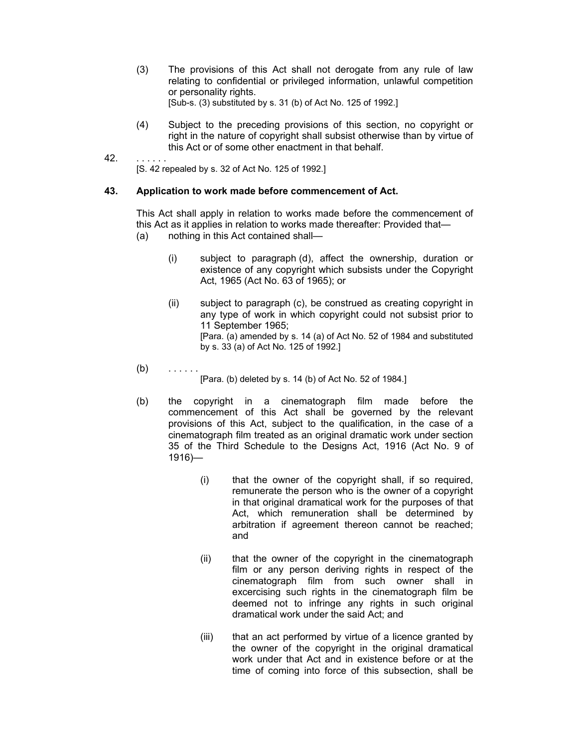- (3) The provisions of this Act shall not derogate from any rule of law relating to confidential or privileged information, unlawful competition or personality rights. [Sub-s. (3) substituted by s. 31 (b) of Act No. 125 of 1992.]
- (4) Subject to the preceding provisions of this section, no copyright or right in the nature of copyright shall subsist otherwise than by virtue of this Act or of some other enactment in that behalf.
- 42. . . . . . . [S. 42 repealed by s. 32 of Act No. 125 of 1992.]

## **43. Application to work made before commencement of Act.**

This Act shall apply in relation to works made before the commencement of this Act as it applies in relation to works made thereafter: Provided that—

- (a) nothing in this Act contained shall—
	- (i) subject to paragraph (d), affect the ownership, duration or existence of any copyright which subsists under the Copyright Act, 1965 (Act No. 63 of 1965); or
	- (ii) subject to paragraph (c), be construed as creating copyright in any type of work in which copyright could not subsist prior to 11 September 1965; [Para. (a) amended by s. 14 (a) of Act No. 52 of 1984 and substituted by s. 33 (a) of Act No. 125 of 1992.]
- $(b)$  . . . . .

[Para. (b) deleted by s. 14 (b) of Act No. 52 of 1984.]

- (b) the copyright in a cinematograph film made before the commencement of this Act shall be governed by the relevant provisions of this Act, subject to the qualification, in the case of a cinematograph film treated as an original dramatic work under section 35 of the Third Schedule to the Designs Act, 1916 (Act No. 9 of 1916)—
	- (i) that the owner of the copyright shall, if so required, remunerate the person who is the owner of a copyright in that original dramatical work for the purposes of that Act, which remuneration shall be determined by arbitration if agreement thereon cannot be reached; and
	- (ii) that the owner of the copyright in the cinematograph film or any person deriving rights in respect of the cinematograph film from such owner shall in excercising such rights in the cinematograph film be deemed not to infringe any rights in such original dramatical work under the said Act; and
	- (iii) that an act performed by virtue of a licence granted by the owner of the copyright in the original dramatical work under that Act and in existence before or at the time of coming into force of this subsection, shall be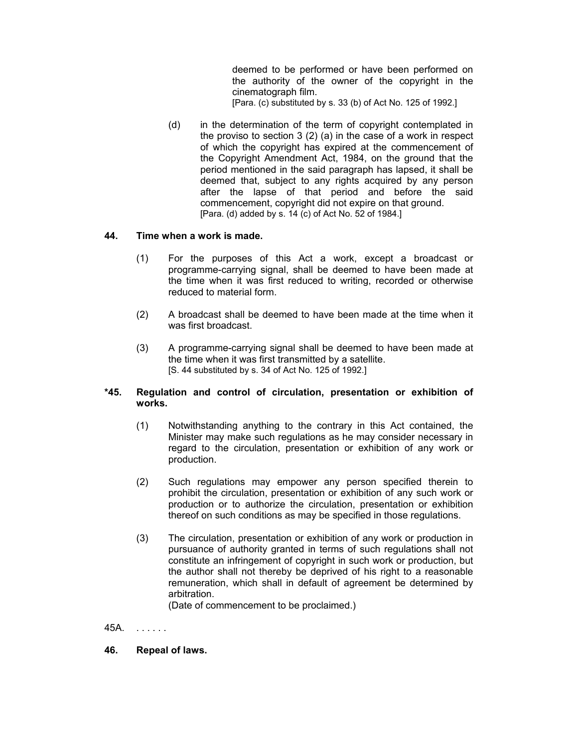deemed to be performed or have been performed on the authority of the owner of the copyright in the cinematograph film.

[Para. (c) substituted by s. 33 (b) of Act No. 125 of 1992.]

(d) in the determination of the term of copyright contemplated in the proviso to section 3 (2) (a) in the case of a work in respect of which the copyright has expired at the commencement of the Copyright Amendment Act, 1984, on the ground that the period mentioned in the said paragraph has lapsed, it shall be deemed that, subject to any rights acquired by any person after the lapse of that period and before the said commencement, copyright did not expire on that ground. [Para. (d) added by s. 14 (c) of Act No. 52 of 1984.]

# **44. Time when a work is made.**

- (1) For the purposes of this Act a work, except a broadcast or programme-carrying signal, shall be deemed to have been made at the time when it was first reduced to writing, recorded or otherwise reduced to material form.
- (2) A broadcast shall be deemed to have been made at the time when it was first broadcast.
- (3) A programme-carrying signal shall be deemed to have been made at the time when it was first transmitted by a satellite. [S. 44 substituted by s. 34 of Act No. 125 of 1992.]

# **\*45. Regulation and control of circulation, presentation or exhibition of works.**

- (1) Notwithstanding anything to the contrary in this Act contained, the Minister may make such regulations as he may consider necessary in regard to the circulation, presentation or exhibition of any work or production.
- (2) Such regulations may empower any person specified therein to prohibit the circulation, presentation or exhibition of any such work or production or to authorize the circulation, presentation or exhibition thereof on such conditions as may be specified in those regulations.
- (3) The circulation, presentation or exhibition of any work or production in pursuance of authority granted in terms of such regulations shall not constitute an infringement of copyright in such work or production, but the author shall not thereby be deprived of his right to a reasonable remuneration, which shall in default of agreement be determined by arbitration.

(Date of commencement to be proclaimed.)

45A. . . . . . .

**46. Repeal of laws.**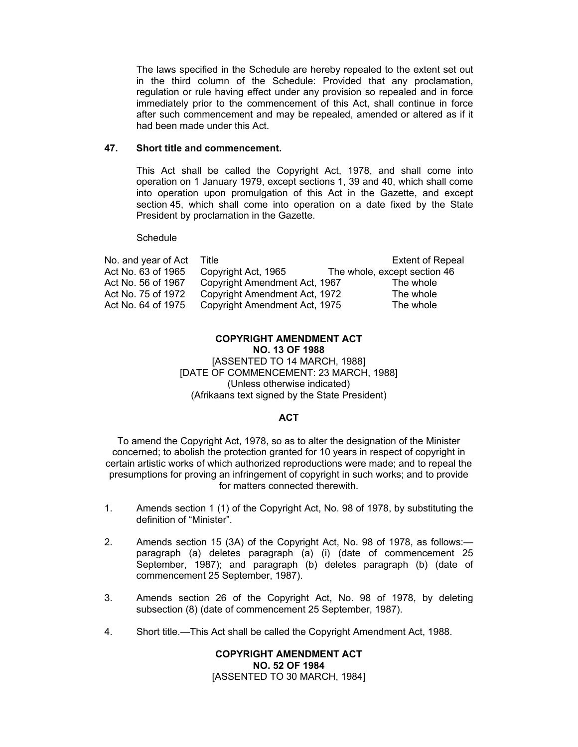The laws specified in the Schedule are hereby repealed to the extent set out in the third column of the Schedule: Provided that any proclamation, regulation or rule having effect under any provision so repealed and in force immediately prior to the commencement of this Act, shall continue in force after such commencement and may be repealed, amended or altered as if it had been made under this Act.

#### **47. Short title and commencement.**

This Act shall be called the Copyright Act, 1978, and shall come into operation on 1 January 1979, except sections 1, 39 and 40, which shall come into operation upon promulgation of this Act in the Gazette, and except section 45, which shall come into operation on a date fixed by the State President by proclamation in the Gazette.

Schedule

| No. and year of Act | Title                         | <b>Extent of Repeal</b>      |
|---------------------|-------------------------------|------------------------------|
| Act No. 63 of 1965  | Copyright Act, 1965           | The whole, except section 46 |
| Act No. 56 of 1967  | Copyright Amendment Act, 1967 | The whole                    |
| Act No. 75 of 1972  | Copyright Amendment Act, 1972 | The whole                    |
| Act No. 64 of 1975  | Copyright Amendment Act, 1975 | The whole                    |

#### **COPYRIGHT AMENDMENT ACT NO. 13 OF 1988** [ASSENTED TO 14 MARCH, 1988] [DATE OF COMMENCEMENT: 23 MARCH, 1988] (Unless otherwise indicated) (Afrikaans text signed by the State President)

# **ACT**

To amend the Copyright Act, 1978, so as to alter the designation of the Minister concerned; to abolish the protection granted for 10 years in respect of copyright in certain artistic works of which authorized reproductions were made; and to repeal the presumptions for proving an infringement of copyright in such works; and to provide for matters connected therewith.

- 1. Amends section 1 (1) of the Copyright Act, No. 98 of 1978, by substituting the definition of "Minister".
- 2. Amends section 15 (3A) of the Copyright Act, No. 98 of 1978, as follows: paragraph (a) deletes paragraph (a) (i) (date of commencement 25 September, 1987); and paragraph (b) deletes paragraph (b) (date of commencement 25 September, 1987).
- 3. Amends section 26 of the Copyright Act, No. 98 of 1978, by deleting subsection (8) (date of commencement 25 September, 1987).
- 4. Short title.—This Act shall be called the Copyright Amendment Act, 1988.

**COPYRIGHT AMENDMENT ACT NO. 52 OF 1984**  [ASSENTED TO 30 MARCH, 1984]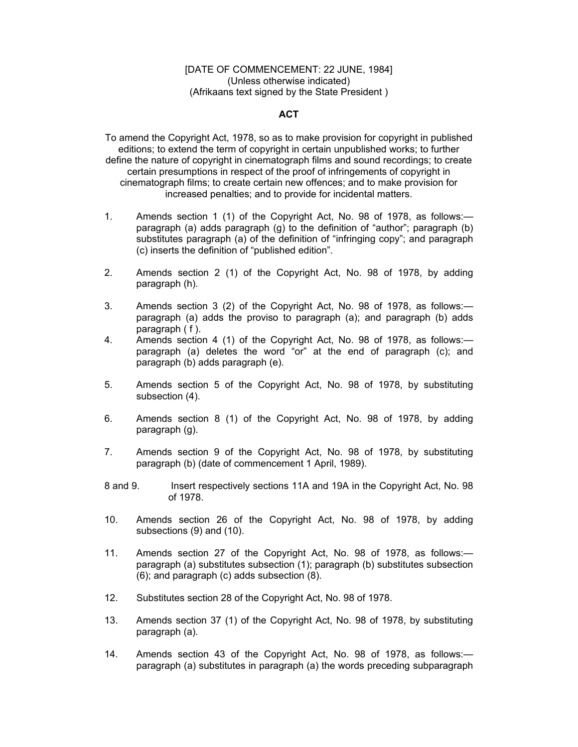#### [DATE OF COMMENCEMENT: 22 JUNE, 1984] (Unless otherwise indicated) (Afrikaans text signed by the State President )

# **ACT**

To amend the Copyright Act, 1978, so as to make provision for copyright in published editions; to extend the term of copyright in certain unpublished works; to further define the nature of copyright in cinematograph films and sound recordings; to create certain presumptions in respect of the proof of infringements of copyright in cinematograph films; to create certain new offences; and to make provision for increased penalties; and to provide for incidental matters.

- 1. Amends section 1 (1) of the Copyright Act, No. 98 of 1978, as follows: paragraph (a) adds paragraph (g) to the definition of "author"; paragraph (b) substitutes paragraph (a) of the definition of "infringing copy"; and paragraph (c) inserts the definition of "published edition".
- 2. Amends section 2 (1) of the Copyright Act, No. 98 of 1978, by adding paragraph (h).
- 3. Amends section 3 (2) of the Copyright Act, No. 98 of 1978, as follows: paragraph (a) adds the proviso to paragraph (a); and paragraph (b) adds paragraph ( f ).
- 4. Amends section 4 (1) of the Copyright Act, No. 98 of 1978, as follows: paragraph (a) deletes the word "or" at the end of paragraph (c); and paragraph (b) adds paragraph (e).
- 5. Amends section 5 of the Copyright Act, No. 98 of 1978, by substituting subsection (4).
- 6. Amends section 8 (1) of the Copyright Act, No. 98 of 1978, by adding paragraph (g).
- 7. Amends section 9 of the Copyright Act, No. 98 of 1978, by substituting paragraph (b) (date of commencement 1 April, 1989).
- 8 and 9. Insert respectively sections 11A and 19A in the Copyright Act, No. 98 of 1978.
- 10. Amends section 26 of the Copyright Act, No. 98 of 1978, by adding subsections (9) and (10).
- 11. Amends section 27 of the Copyright Act, No. 98 of 1978, as follows: paragraph (a) substitutes subsection (1); paragraph (b) substitutes subsection (6); and paragraph (c) adds subsection (8).
- 12. Substitutes section 28 of the Copyright Act, No. 98 of 1978.
- 13. Amends section 37 (1) of the Copyright Act, No. 98 of 1978, by substituting paragraph (a).
- 14. Amends section 43 of the Copyright Act, No. 98 of 1978, as follows: paragraph (a) substitutes in paragraph (a) the words preceding subparagraph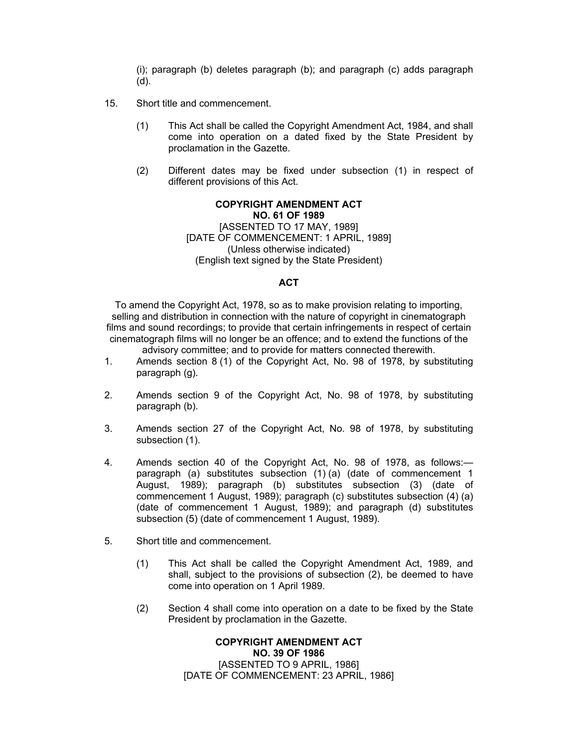(i); paragraph (b) deletes paragraph (b); and paragraph (c) adds paragraph (d).

- 15. Short title and commencement.
	- (1) This Act shall be called the Copyright Amendment Act, 1984, and shall come into operation on a dated fixed by the State President by proclamation in the Gazette.
	- (2) Different dates may be fixed under subsection (1) in respect of different provisions of this Act.

**COPYRIGHT AMENDMENT ACT NO. 61 OF 1989** [ASSENTED TO 17 MAY, 1989] [DATE OF COMMENCEMENT: 1 APRIL, 1989] (Unless otherwise indicated) (English text signed by the State President)

## **ACT**

To amend the Copyright Act, 1978, so as to make provision relating to importing, selling and distribution in connection with the nature of copyright in cinematograph films and sound recordings; to provide that certain infringements in respect of certain cinematograph films will no longer be an offence; and to extend the functions of the advisory committee; and to provide for matters connected therewith.

- 1. Amends section 8 (1) of the Copyright Act, No. 98 of 1978, by substituting paragraph (g).
- 2. Amends section 9 of the Copyright Act, No. 98 of 1978, by substituting paragraph (b).
- 3. Amends section 27 of the Copyright Act, No. 98 of 1978, by substituting subsection (1).
- 4. Amends section 40 of the Copyright Act, No. 98 of 1978, as follows: paragraph (a) substitutes subsection (1) (a) (date of commencement 1 August, 1989); paragraph (b) substitutes subsection (3) (date of commencement 1 August, 1989); paragraph (c) substitutes subsection (4) (a) (date of commencement 1 August, 1989); and paragraph (d) substitutes subsection (5) (date of commencement 1 August, 1989).
- 5. Short title and commencement.
	- (1) This Act shall be called the Copyright Amendment Act, 1989, and shall, subject to the provisions of subsection (2), be deemed to have come into operation on 1 April 1989.
	- (2) Section 4 shall come into operation on a date to be fixed by the State President by proclamation in the Gazette.

# **COPYRIGHT AMENDMENT ACT NO. 39 OF 1986** [ASSENTED TO 9 APRIL, 1986] [DATE OF COMMENCEMENT: 23 APRIL, 1986]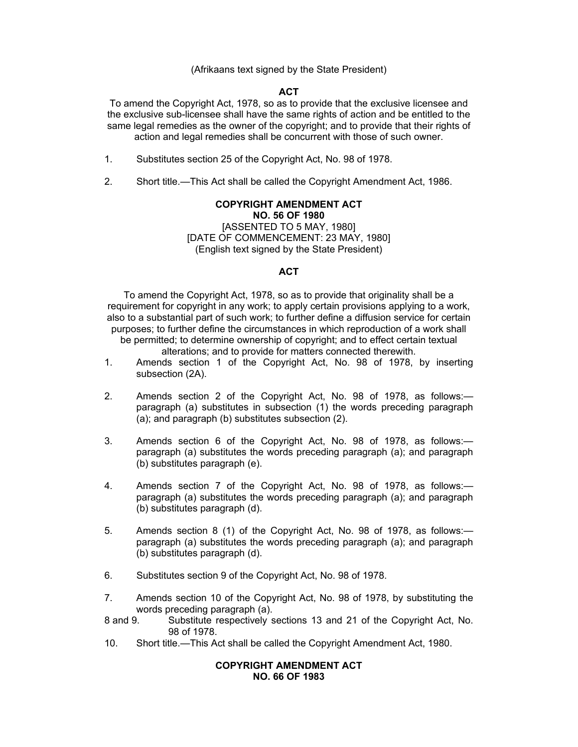(Afrikaans text signed by the State President)

## **ACT**

To amend the Copyright Act, 1978, so as to provide that the exclusive licensee and the exclusive sub-licensee shall have the same rights of action and be entitled to the same legal remedies as the owner of the copyright; and to provide that their rights of action and legal remedies shall be concurrent with those of such owner.

- 1. Substitutes section 25 of the Copyright Act, No. 98 of 1978.
- 2. Short title.—This Act shall be called the Copyright Amendment Act, 1986.

# **COPYRIGHT AMENDMENT ACT**

**NO. 56 OF 1980**  [ASSENTED TO 5 MAY, 1980] [DATE OF COMMENCEMENT: 23 MAY, 1980] (English text signed by the State President)

## **ACT**

To amend the Copyright Act, 1978, so as to provide that originality shall be a requirement for copyright in any work; to apply certain provisions applying to a work, also to a substantial part of such work; to further define a diffusion service for certain purposes; to further define the circumstances in which reproduction of a work shall be permitted; to determine ownership of copyright; and to effect certain textual alterations; and to provide for matters connected therewith.

- 1. Amends section 1 of the Copyright Act, No. 98 of 1978, by inserting subsection (2A).
- 2. Amends section 2 of the Copyright Act, No. 98 of 1978, as follows: paragraph (a) substitutes in subsection (1) the words preceding paragraph (a); and paragraph (b) substitutes subsection (2).
- 3. Amends section 6 of the Copyright Act, No. 98 of 1978, as follows: paragraph (a) substitutes the words preceding paragraph (a); and paragraph (b) substitutes paragraph (e).
- 4. Amends section 7 of the Copyright Act, No. 98 of 1978, as follows: paragraph (a) substitutes the words preceding paragraph (a); and paragraph (b) substitutes paragraph (d).
- 5. Amends section 8 (1) of the Copyright Act, No. 98 of 1978, as follows: paragraph (a) substitutes the words preceding paragraph (a); and paragraph (b) substitutes paragraph (d).
- 6. Substitutes section 9 of the Copyright Act, No. 98 of 1978.
- 7. Amends section 10 of the Copyright Act, No. 98 of 1978, by substituting the words preceding paragraph (a).
- 8 and 9. Substitute respectively sections 13 and 21 of the Copyright Act, No. 98 of 1978.
- 10. Short title.—This Act shall be called the Copyright Amendment Act, 1980.

#### **COPYRIGHT AMENDMENT ACT NO. 66 OF 1983**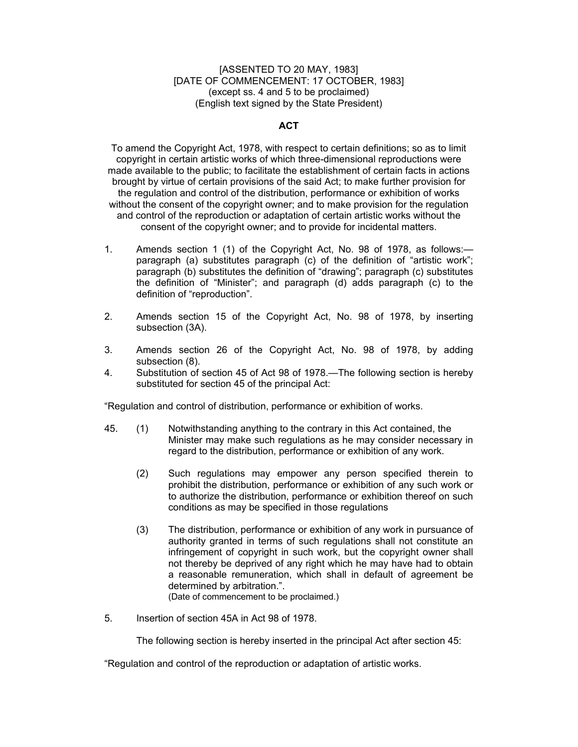#### [ASSENTED TO 20 MAY, 1983] [DATE OF COMMENCEMENT: 17 OCTOBER, 1983] (except ss. 4 and 5 to be proclaimed) (English text signed by the State President)

## **ACT**

To amend the Copyright Act, 1978, with respect to certain definitions; so as to limit copyright in certain artistic works of which three-dimensional reproductions were made available to the public; to facilitate the establishment of certain facts in actions brought by virtue of certain provisions of the said Act; to make further provision for the regulation and control of the distribution, performance or exhibition of works without the consent of the copyright owner; and to make provision for the regulation and control of the reproduction or adaptation of certain artistic works without the consent of the copyright owner; and to provide for incidental matters.

- 1. Amends section 1 (1) of the Copyright Act, No. 98 of 1978, as follows: paragraph (a) substitutes paragraph (c) of the definition of "artistic work"; paragraph (b) substitutes the definition of "drawing"; paragraph (c) substitutes the definition of "Minister"; and paragraph (d) adds paragraph (c) to the definition of "reproduction".
- 2. Amends section 15 of the Copyright Act, No. 98 of 1978, by inserting subsection (3A).
- 3. Amends section 26 of the Copyright Act, No. 98 of 1978, by adding subsection (8).
- 4. Substitution of section 45 of Act 98 of 1978.—The following section is hereby substituted for section 45 of the principal Act:

"Regulation and control of distribution, performance or exhibition of works.

- 45. (1) Notwithstanding anything to the contrary in this Act contained, the Minister may make such regulations as he may consider necessary in regard to the distribution, performance or exhibition of any work.
	- (2) Such regulations may empower any person specified therein to prohibit the distribution, performance or exhibition of any such work or to authorize the distribution, performance or exhibition thereof on such conditions as may be specified in those regulations
	- (3) The distribution, performance or exhibition of any work in pursuance of authority granted in terms of such regulations shall not constitute an infringement of copyright in such work, but the copyright owner shall not thereby be deprived of any right which he may have had to obtain a reasonable remuneration, which shall in default of agreement be determined by arbitration.". (Date of commencement to be proclaimed.)

5. Insertion of section 45A in Act 98 of 1978.

The following section is hereby inserted in the principal Act after section 45:

"Regulation and control of the reproduction or adaptation of artistic works.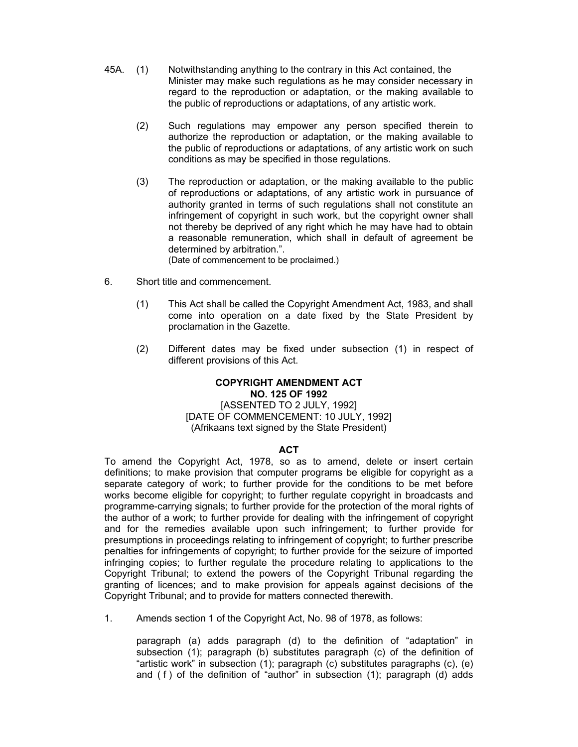- 45A. (1) Notwithstanding anything to the contrary in this Act contained, the Minister may make such regulations as he may consider necessary in regard to the reproduction or adaptation, or the making available to the public of reproductions or adaptations, of any artistic work.
	- (2) Such regulations may empower any person specified therein to authorize the reproduction or adaptation, or the making available to the public of reproductions or adaptations, of any artistic work on such conditions as may be specified in those regulations.
	- (3) The reproduction or adaptation, or the making available to the public of reproductions or adaptations, of any artistic work in pursuance of authority granted in terms of such regulations shall not constitute an infringement of copyright in such work, but the copyright owner shall not thereby be deprived of any right which he may have had to obtain a reasonable remuneration, which shall in default of agreement be determined by arbitration.".

(Date of commencement to be proclaimed.)

- 6. Short title and commencement.
	- (1) This Act shall be called the Copyright Amendment Act, 1983, and shall come into operation on a date fixed by the State President by proclamation in the Gazette.
	- (2) Different dates may be fixed under subsection (1) in respect of different provisions of this Act.

## **COPYRIGHT AMENDMENT ACT NO. 125 OF 1992**

[ASSENTED TO 2 JULY, 1992] [DATE OF COMMENCEMENT: 10 JULY, 1992] (Afrikaans text signed by the State President)

#### **ACT**

To amend the Copyright Act, 1978, so as to amend, delete or insert certain definitions; to make provision that computer programs be eligible for copyright as a separate category of work; to further provide for the conditions to be met before works become eligible for copyright; to further regulate copyright in broadcasts and programme-carrying signals; to further provide for the protection of the moral rights of the author of a work; to further provide for dealing with the infringement of copyright and for the remedies available upon such infringement; to further provide for presumptions in proceedings relating to infringement of copyright; to further prescribe penalties for infringements of copyright; to further provide for the seizure of imported infringing copies; to further regulate the procedure relating to applications to the Copyright Tribunal; to extend the powers of the Copyright Tribunal regarding the granting of licences; and to make provision for appeals against decisions of the Copyright Tribunal; and to provide for matters connected therewith.

1. Amends section 1 of the Copyright Act, No. 98 of 1978, as follows:

paragraph (a) adds paragraph (d) to the definition of "adaptation" in subsection (1); paragraph (b) substitutes paragraph (c) of the definition of "artistic work" in subsection (1); paragraph (c) substitutes paragraphs (c), (e) and  $(f)$  of the definition of "author" in subsection  $(1)$ ; paragraph  $(d)$  adds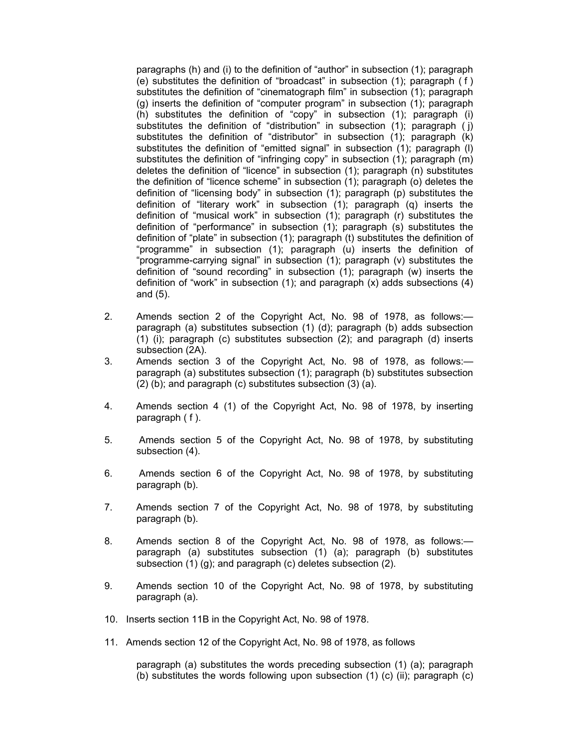paragraphs (h) and (i) to the definition of "author" in subsection (1); paragraph (e) substitutes the definition of "broadcast" in subsection  $(1)$ ; paragraph  $(1)$ substitutes the definition of "cinematograph film" in subsection (1); paragraph (g) inserts the definition of "computer program" in subsection (1); paragraph (h) substitutes the definition of "copy" in subsection (1); paragraph (i) substitutes the definition of "distribution" in subsection (1); paragraph (i) substitutes the definition of "distributor" in subsection (1); paragraph (k) substitutes the definition of "emitted signal" in subsection (1); paragraph (l) substitutes the definition of "infringing copy" in subsection (1); paragraph (m) deletes the definition of "licence" in subsection (1); paragraph (n) substitutes the definition of "licence scheme" in subsection (1); paragraph (o) deletes the definition of "licensing body" in subsection (1); paragraph (p) substitutes the definition of "literary work" in subsection  $(1)$ ; paragraph  $(q)$  inserts the definition of "musical work" in subsection (1); paragraph (r) substitutes the definition of "performance" in subsection (1); paragraph (s) substitutes the definition of "plate" in subsection (1); paragraph (t) substitutes the definition of "programme" in subsection (1); paragraph (u) inserts the definition of "programme-carrying signal" in subsection (1); paragraph (v) substitutes the definition of "sound recording" in subsection (1); paragraph (w) inserts the definition of "work" in subsection (1); and paragraph (x) adds subsections (4) and (5).

- 2. Amends section 2 of the Copyright Act, No. 98 of 1978, as follows: paragraph (a) substitutes subsection (1) (d); paragraph (b) adds subsection (1) (i); paragraph (c) substitutes subsection (2); and paragraph (d) inserts subsection (2A).
- 3. Amends section 3 of the Copyright Act, No. 98 of 1978, as follows: paragraph (a) substitutes subsection (1); paragraph (b) substitutes subsection (2) (b); and paragraph (c) substitutes subsection (3) (a).
- 4. Amends section 4 (1) of the Copyright Act, No. 98 of 1978, by inserting paragraph ( f ).
- 5. Amends section 5 of the Copyright Act, No. 98 of 1978, by substituting subsection (4).
- 6. Amends section 6 of the Copyright Act, No. 98 of 1978, by substituting paragraph (b).
- 7. Amends section 7 of the Copyright Act, No. 98 of 1978, by substituting paragraph (b).
- 8. Amends section 8 of the Copyright Act, No. 98 of 1978, as follows: paragraph (a) substitutes subsection (1) (a); paragraph (b) substitutes subsection (1) (g); and paragraph (c) deletes subsection (2).
- 9. Amends section 10 of the Copyright Act, No. 98 of 1978, by substituting paragraph (a).
- 10. Inserts section 11B in the Copyright Act, No. 98 of 1978.
- 11. Amends section 12 of the Copyright Act, No. 98 of 1978, as follows

paragraph (a) substitutes the words preceding subsection (1) (a); paragraph (b) substitutes the words following upon subsection  $(1)$  (c) (ii); paragraph  $(c)$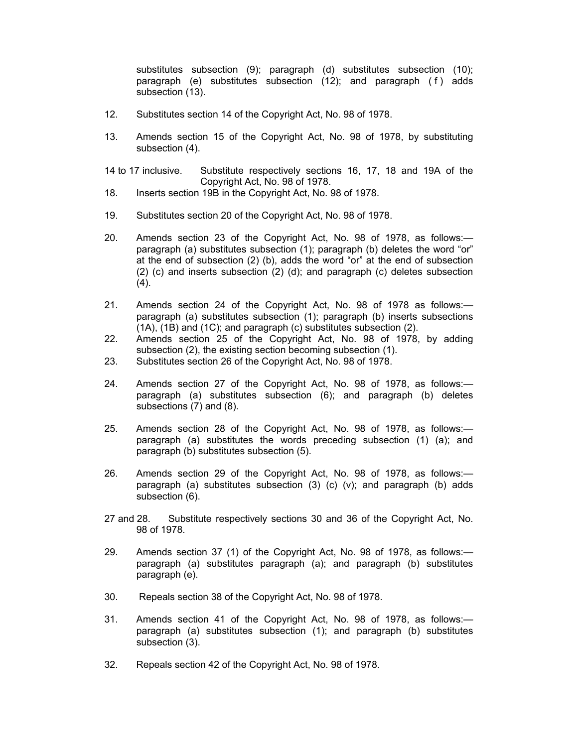substitutes subsection (9); paragraph (d) substitutes subsection (10); paragraph (e) substitutes subsection  $(12)$ ; and paragraph  $(f)$  adds subsection (13).

- 12. Substitutes section 14 of the Copyright Act, No. 98 of 1978.
- 13. Amends section 15 of the Copyright Act, No. 98 of 1978, by substituting subsection (4).
- 14 to 17 inclusive. Substitute respectively sections 16, 17, 18 and 19A of the Copyright Act, No. 98 of 1978.
- 18. Inserts section 19B in the Copyright Act, No. 98 of 1978.
- 19. Substitutes section 20 of the Copyright Act, No. 98 of 1978.
- 20. Amends section 23 of the Copyright Act, No. 98 of 1978, as follows: paragraph (a) substitutes subsection (1); paragraph (b) deletes the word "or" at the end of subsection (2) (b), adds the word "or" at the end of subsection (2) (c) and inserts subsection (2) (d); and paragraph (c) deletes subsection (4).
- 21. Amends section 24 of the Copyright Act, No. 98 of 1978 as follows: paragraph (a) substitutes subsection (1); paragraph (b) inserts subsections (1A), (1B) and (1C); and paragraph (c) substitutes subsection (2).
- 22. Amends section 25 of the Copyright Act, No. 98 of 1978, by adding subsection (2), the existing section becoming subsection (1).
- 23. Substitutes section 26 of the Copyright Act, No. 98 of 1978.
- 24. Amends section 27 of the Copyright Act, No. 98 of 1978, as follows: paragraph (a) substitutes subsection (6); and paragraph (b) deletes subsections (7) and (8).
- 25. Amends section 28 of the Copyright Act, No. 98 of 1978, as follows: paragraph (a) substitutes the words preceding subsection (1) (a); and paragraph (b) substitutes subsection (5).
- 26. Amends section 29 of the Copyright Act, No. 98 of 1978, as follows: paragraph (a) substitutes subsection  $(3)$  (c)  $(v)$ ; and paragraph (b) adds subsection (6).
- 27 and 28. Substitute respectively sections 30 and 36 of the Copyright Act, No. 98 of 1978.
- 29. Amends section 37 (1) of the Copyright Act, No. 98 of 1978, as follows: paragraph (a) substitutes paragraph (a); and paragraph (b) substitutes paragraph (e).
- 30. Repeals section 38 of the Copyright Act, No. 98 of 1978.
- 31. Amends section 41 of the Copyright Act, No. 98 of 1978, as follows: paragraph (a) substitutes subsection (1); and paragraph (b) substitutes subsection (3).
- 32. Repeals section 42 of the Copyright Act, No. 98 of 1978.